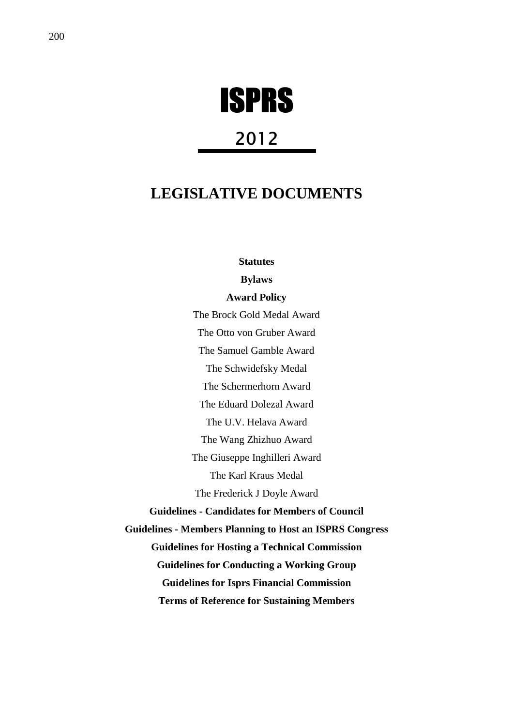

# 2012

# **LEGISLATIVE DOCUMENTS**

**Statutes** 

**Bylaws** 

**Award Policy** 

The Brock Gold Medal Award The Otto von Gruber Award The Samuel Gamble Award The Schwidefsky Medal The Schermerhorn Award The Eduard Dolezal Award The U.V. Helava Award The Wang Zhizhuo Award The Giuseppe Inghilleri Award The Karl Kraus Medal The Frederick J Doyle Award **Guidelines - Candidates for Members of Council Guidelines - Members Planning to Host an ISPRS Congress Guidelines for Hosting a Technical Commission Guidelines for Conducting a Working Group Guidelines for Isprs Financial Commission Terms of Reference for Sustaining Members**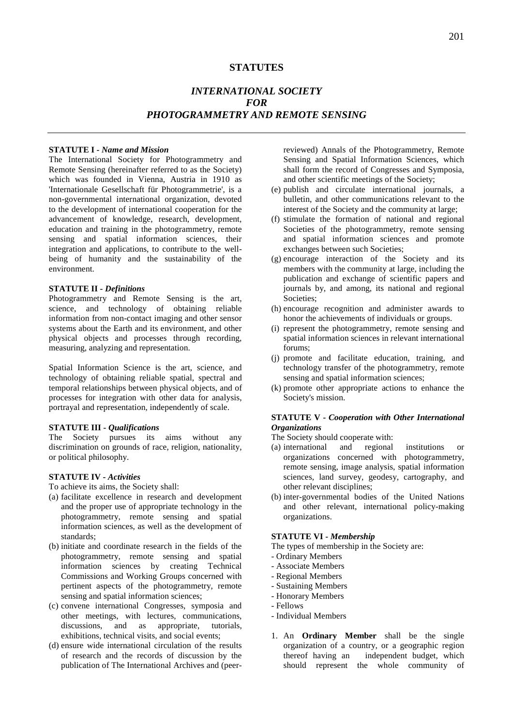# **STATUTES**

# *INTERNATIONAL SOCIETY FOR PHOTOGRAMMETRY AND REMOTE SENSING*

#### **STATUTE I -** *Name and Mission*

The International Society for Photogrammetry and Remote Sensing (hereinafter referred to as the Society) which was founded in Vienna, Austria in 1910 as 'Internationale Gesellschaft für Photogrammetrie', is a non-governmental international organization, devoted to the development of international cooperation for the advancement of knowledge, research, development, education and training in the photogrammetry, remote sensing and spatial information sciences, their integration and applications, to contribute to the wellbeing of humanity and the sustainability of the environment.

# **STATUTE II -** *Definitions*

Photogrammetry and Remote Sensing is the art, science, and technology of obtaining reliable information from non-contact imaging and other sensor systems about the Earth and its environment, and other physical objects and processes through recording, measuring, analyzing and representation.

Spatial Information Science is the art, science, and technology of obtaining reliable spatial, spectral and temporal relationships between physical objects, and of processes for integration with other data for analysis, portrayal and representation, independently of scale.

#### **STATUTE III** *- Qualifications*

The Society pursues its aims without any discrimination on grounds of race, religion, nationality, or political philosophy.

#### **STATUTE IV -** *Activities*

To achieve its aims, the Society shall:

- (a) facilitate excellence in research and development and the proper use of appropriate technology in the photogrammetry, remote sensing and spatial information sciences, as well as the development of standards;
- (b) initiate and coordinate research in the fields of the photogrammetry, remote sensing and spatial information sciences by creating Technical Commissions and Working Groups concerned with pertinent aspects of the photogrammetry, remote sensing and spatial information sciences;
- (c) convene international Congresses, symposia and other meetings, with lectures, communications, discussions, and as appropriate, tutorials, exhibitions, technical visits, and social events;
- (d) ensure wide international circulation of the results of research and the records of discussion by the publication of The International Archives and (peer-

reviewed) Annals of the Photogrammetry, Remote Sensing and Spatial Information Sciences, which shall form the record of Congresses and Symposia, and other scientific meetings of the Society;

- (e) publish and circulate international journals, a bulletin, and other communications relevant to the interest of the Society and the community at large;
- (f) stimulate the formation of national and regional Societies of the photogrammetry, remote sensing and spatial information sciences and promote exchanges between such Societies;
- (g) encourage interaction of the Society and its members with the community at large, including the publication and exchange of scientific papers and journals by, and among, its national and regional Societies;
- (h) encourage recognition and administer awards to honor the achievements of individuals or groups.
- (i) represent the photogrammetry, remote sensing and spatial information sciences in relevant international forums;
- (j) promote and facilitate education, training, and technology transfer of the photogrammetry, remote sensing and spatial information sciences;
- (k) promote other appropriate actions to enhance the Society's mission.

# **STATUTE V** *- Cooperation with Other International Organizations*

- The Society should cooperate with:
- (a) international and regional institutions or organizations concerned with photogrammetry, remote sensing, image analysis, spatial information sciences, land survey, geodesy, cartography, and other relevant disciplines;
- (b) inter-governmental bodies of the United Nations and other relevant, international policy-making organizations.

#### **STATUTE VI -** *Membership*

- The types of membership in the Society are:
- Ordinary Members
- Associate Members
- Regional Members
- Sustaining Members
- Honorary Members
- Fellows
- Individual Members
- 1. An **Ordinary Member** shall be the single organization of a country, or a geographic region thereof having an independent budget, which should represent the whole community of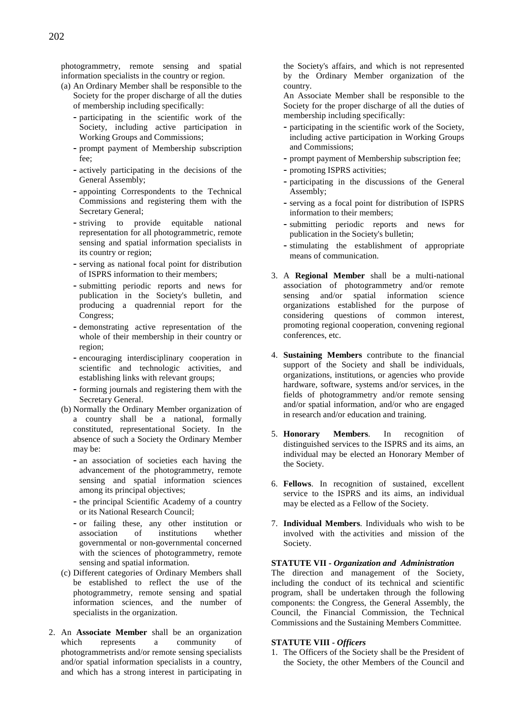photogrammetry, remote sensing and spatial information specialists in the country or region.

- (a) An Ordinary Member shall be responsible to the Society for the proper discharge of all the duties of membership including specifically:
	- **-** participating in the scientific work of the Society, including active participation in Working Groups and Commissions;
	- **-** prompt payment of Membership subscription fee;
	- **-** actively participating in the decisions of the General Assembly;
	- **-** appointing Correspondents to the Technical Commissions and registering them with the Secretary General;
	- **-** striving to provide equitable national representation for all photogrammetric, remote sensing and spatial information specialists in its country or region;
	- **-** serving as national focal point for distribution of ISPRS information to their members;
	- **-** submitting periodic reports and news for publication in the Society's bulletin, and producing a quadrennial report for the Congress;
	- **-** demonstrating active representation of the whole of their membership in their country or region;
	- **-** encouraging interdisciplinary cooperation in scientific and technologic activities, and establishing links with relevant groups;
	- **-** forming journals and registering them with the Secretary General.
- (b) Normally the Ordinary Member organization of a country shall be a national, formally constituted, representational Society. In the absence of such a Society the Ordinary Member may be:
	- **-** an association of societies each having the advancement of the photogrammetry, remote sensing and spatial information sciences among its principal objectives;
	- **-** the principal Scientific Academy of a country or its National Research Council;
	- **-** or failing these, any other institution or institutions whether governmental or non-governmental concerned with the sciences of photogrammetry, remote sensing and spatial information.
- (c) Different categories of Ordinary Members shall be established to reflect the use of the photogrammetry, remote sensing and spatial information sciences, and the number of specialists in the organization.
- 2. An **Associate Member** shall be an organization which represents a community of photogrammetrists and/or remote sensing specialists and/or spatial information specialists in a country, and which has a strong interest in participating in

the Society's affairs, and which is not represented by the Ordinary Member organization of the country.

An Associate Member shall be responsible to the Society for the proper discharge of all the duties of membership including specifically:

- **-** participating in the scientific work of the Society, including active participation in Working Groups and Commissions;
- **-** prompt payment of Membership subscription fee;
- **-** promoting ISPRS activities;
- **-** participating in the discussions of the General Assembly;
- **-** serving as a focal point for distribution of ISPRS information to their members;
- **-** submitting periodic reports and news for publication in the Society's bulletin;
- **-** stimulating the establishment of appropriate means of communication.
- 3. A **Regional Member** shall be a multi-national association of photogrammetry and/or remote sensing and/or spatial information science organizations established for the purpose of considering questions of common interest, promoting regional cooperation, convening regional conferences, etc.
- 4. **Sustaining Members** contribute to the financial support of the Society and shall be individuals, organizations, institutions, or agencies who provide hardware, software, systems and/or services, in the fields of photogrammetry and/or remote sensing and/or spatial information, and/or who are engaged in research and/or education and training.
- 5. **Honorary Members**. In recognition of distinguished services to the ISPRS and its aims, an individual may be elected an Honorary Member of the Society.
- 6. **Fellows**. In recognition of sustained, excellent service to the ISPRS and its aims, an individual may be elected as a Fellow of the Society.
- 7. **Individual Members**. Individuals who wish to be involved with the activities and mission of the Society.

# **STATUTE VII -** *Organization and Administration*

The direction and management of the Society, including the conduct of its technical and scientific program, shall be undertaken through the following components: the Congress, the General Assembly, the Council, the Financial Commission, the Technical Commissions and the Sustaining Members Committee.

# **STATUTE VIII -** *Officers*

1. The Officers of the Society shall be the President of the Society, the other Members of the Council and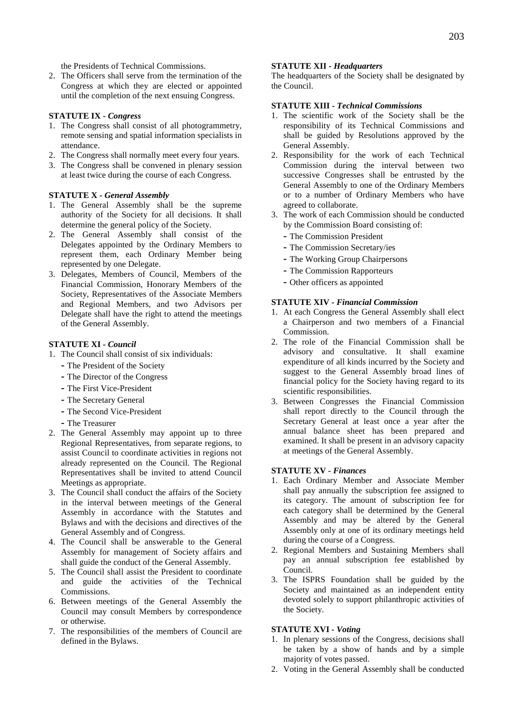the Presidents of Technical Commissions.

2. The Officers shall serve from the termination of the Congress at which they are elected or appointed until the completion of the next ensuing Congress.

# **STATUTE IX -** *Congress*

- 1. The Congress shall consist of all photogrammetry, remote sensing and spatial information specialists in attendance.
- 2. The Congress shall normally meet every four years.
- 3. The Congress shall be convened in plenary session at least twice during the course of each Congress.

#### **STATUTE X -** *General Assembly*

- 1. The General Assembly shall be the supreme authority of the Society for all decisions. It shall determine the general policy of the Society.
- 2. The General Assembly shall consist of the Delegates appointed by the Ordinary Members to represent them, each Ordinary Member being represented by one Delegate.
- 3. Delegates, Members of Council, Members of the Financial Commission, Honorary Members of the Society, Representatives of the Associate Members and Regional Members, and two Advisors per Delegate shall have the right to attend the meetings of the General Assembly.

# **STATUTE XI -** *Council*

- 1. The Council shall consist of six individuals:
	- **-** The President of the Society
	- **-** The Director of the Congress
	- **-** The First Vice-President
	- **-** The Secretary General
	- **-** The Second Vice-President
	- **-** The Treasurer
- 2. The General Assembly may appoint up to three Regional Representatives, from separate regions, to assist Council to coordinate activities in regions not already represented on the Council. The Regional Representatives shall be invited to attend Council Meetings as appropriate.
- 3. The Council shall conduct the affairs of the Society in the interval between meetings of the General Assembly in accordance with the Statutes and Bylaws and with the decisions and directives of the General Assembly and of Congress.
- 4. The Council shall be answerable to the General Assembly for management of Society affairs and shall guide the conduct of the General Assembly.
- 5. The Council shall assist the President to coordinate and guide the activities of the Technical Commissions.
- 6. Between meetings of the General Assembly the Council may consult Members by correspondence or otherwise.
- 7. The responsibilities of the members of Council are defined in the Bylaws.

#### **STATUTE XII -** *Headquarters*

The headquarters of the Society shall be designated by the Council.

# **STATUTE XIII -** *Technical Commissions*

- 1. The scientific work of the Society shall be the responsibility of its Technical Commissions and shall be guided by Resolutions approved by the General Assembly.
- 2. Responsibility for the work of each Technical Commission during the interval between two successive Congresses shall be entrusted by the General Assembly to one of the Ordinary Members or to a number of Ordinary Members who have agreed to collaborate.
- 3. The work of each Commission should be conducted by the Commission Board consisting of:
	- **-** The Commission President
	- **-** The Commission Secretary/ies
	- **-** The Working Group Chairpersons
	- **-** The Commission Rapporteurs
	- **-** Other officers as appointed

#### **STATUTE XIV** *- Financial Commission*

- 1. At each Congress the General Assembly shall elect a Chairperson and two members of a Financial Commission.
- 2. The role of the Financial Commission shall be advisory and consultative. It shall examine expenditure of all kinds incurred by the Society and suggest to the General Assembly broad lines of financial policy for the Society having regard to its scientific responsibilities.
- 3. Between Congresses the Financial Commission shall report directly to the Council through the Secretary General at least once a year after the annual balance sheet has been prepared and examined. It shall be present in an advisory capacity at meetings of the General Assembly.

#### **STATUTE XV** *- Finances*

- 1. Each Ordinary Member and Associate Member shall pay annually the subscription fee assigned to its category. The amount of subscription fee for each category shall be determined by the General Assembly and may be altered by the General Assembly only at one of its ordinary meetings held during the course of a Congress.
- 2. Regional Members and Sustaining Members shall pay an annual subscription fee established by Council.
- 3. The ISPRS Foundation shall be guided by the Society and maintained as an independent entity devoted solely to support philanthropic activities of the Society.

# **STATUTE XVI** *- Voting*

- 1. In plenary sessions of the Congress, decisions shall be taken by a show of hands and by a simple majority of votes passed.
- 2. Voting in the General Assembly shall be conducted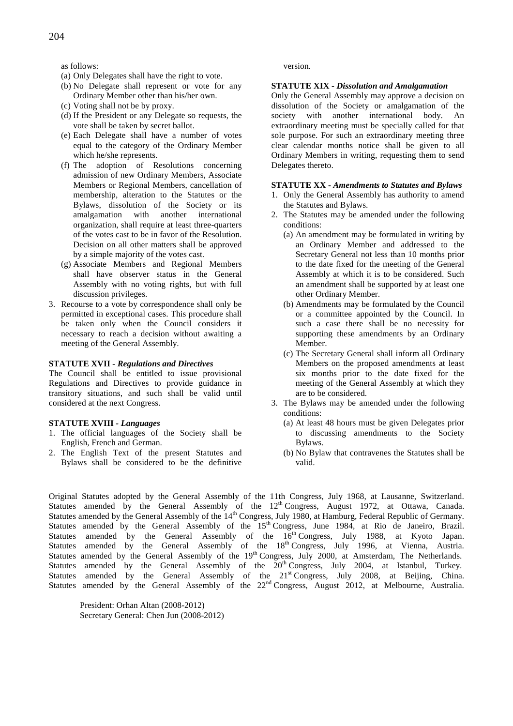as follows:

- (a) Only Delegates shall have the right to vote.
- (b) No Delegate shall represent or vote for any Ordinary Member other than his/her own.
- (c) Voting shall not be by proxy.
- (d) If the President or any Delegate so requests, the vote shall be taken by secret ballot.
- (e) Each Delegate shall have a number of votes equal to the category of the Ordinary Member which he/she represents.
- (f) The adoption of Resolutions concerning admission of new Ordinary Members, Associate Members or Regional Members, cancellation of membership, alteration to the Statutes or the Bylaws, dissolution of the Society or its amalgamation with another international organization, shall require at least three-quarters of the votes cast to be in favor of the Resolution. Decision on all other matters shall be approved by a simple majority of the votes cast.
- (g) Associate Members and Regional Members shall have observer status in the General Assembly with no voting rights, but with full discussion privileges.
- 3. Recourse to a vote by correspondence shall only be permitted in exceptional cases. This procedure shall be taken only when the Council considers it necessary to reach a decision without awaiting a meeting of the General Assembly.

# **STATUTE XVII** *- Regulations and Directives*

The Council shall be entitled to issue provisional Regulations and Directives to provide guidance in transitory situations, and such shall be valid until considered at the next Congress.

#### **STATUTE XVIII** *- Languages*

- 1. The official languages of the Society shall be English, French and German.
- 2. The English Text of the present Statutes and Bylaws shall be considered to be the definitive

#### version.

# **STATUTE XIX -** *Dissolution and Amalgamation*

Only the General Assembly may approve a decision on dissolution of the Society or amalgamation of the society with another international body. An extraordinary meeting must be specially called for that sole purpose. For such an extraordinary meeting three clear calendar months notice shall be given to all Ordinary Members in writing, requesting them to send Delegates thereto.

# **STATUTE XX -** *Amendments to Statutes and Bylaws*

- 1. Only the General Assembly has authority to amend the Statutes and Bylaws.
- 2. The Statutes may be amended under the following conditions:
	- (a) An amendment may be formulated in writing by an Ordinary Member and addressed to the Secretary General not less than 10 months prior to the date fixed for the meeting of the General Assembly at which it is to be considered. Such an amendment shall be supported by at least one other Ordinary Member.
	- (b) Amendments may be formulated by the Council or a committee appointed by the Council. In such a case there shall be no necessity for supporting these amendments by an Ordinary Member.
	- (c) The Secretary General shall inform all Ordinary Members on the proposed amendments at least six months prior to the date fixed for the meeting of the General Assembly at which they are to be considered.
- 3. The Bylaws may be amended under the following conditions:
	- (a) At least 48 hours must be given Delegates prior to discussing amendments to the Society Bylaws.
	- (b) No Bylaw that contravenes the Statutes shall be valid.

Original Statutes adopted by the General Assembly of the 11th Congress, July 1968, at Lausanne, Switzerland. Statutes amended by the General Assembly of the  $12<sup>th</sup>$  Congress, August 1972, at Ottawa, Canada. Statutes amended by the General Assembly of the 14<sup>th</sup> Congress, July 1980, at Hamburg, Federal Republic of Germany. Statutes amended by the General Assembly of the 15<sup>th</sup> Congress, June 1984, at Rio de Janeiro, Brazil. Statutes amended by the General Assembly of the  $16<sup>th</sup> Congress$ , July 1988, at Kyoto Japan. Statutes amended by the General Assembly of the 18<sup>th</sup> Congress, July 1996, at Vienna, Austria. Statutes amended by the General Assembly of the 19<sup>th</sup> Congress, July 2000, at Amsterdam, The Netherlands. Statutes amended by the General Assembly of the  $20<sup>th</sup> Congress$ , July 2004, at Istanbul, Turkey. Statutes amended by the General Assembly of the  $21<sup>st</sup> Congress$ , July 2008, at Beijing, China. Statutes amended by the General Assembly of the 22<sup>nd</sup> Congress, August 2012, at Melbourne, Australia.

President: Orhan Altan (2008-2012) Secretary General: Chen Jun (2008-2012)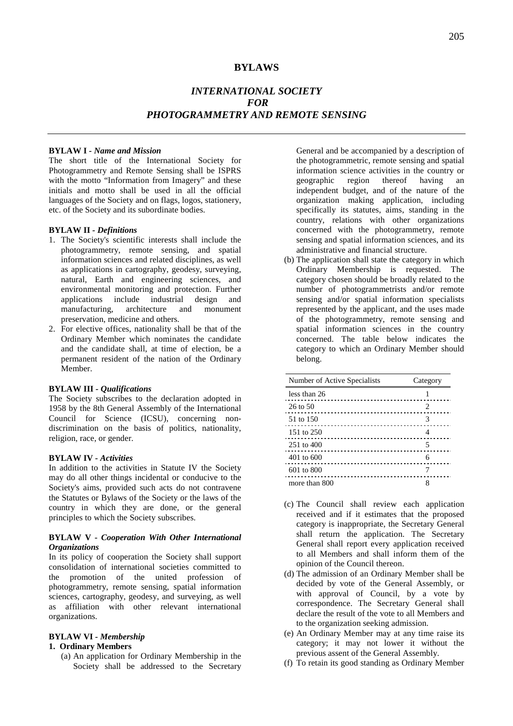# **BYLAWS**

# *INTERNATIONAL SOCIETY FOR PHOTOGRAMMETRY AND REMOTE SENSING*

# **BYLAW I** *- Name and Mission*

The short title of the International Society for Photogrammetry and Remote Sensing shall be ISPRS with the motto "Information from Imagery" and these initials and motto shall be used in all the official languages of the Society and on flags, logos, stationery, etc. of the Society and its subordinate bodies.

#### **BYLAW II** *- Definitions*

- 1. The Society's scientific interests shall include the photogrammetry, remote sensing, and spatial information sciences and related disciplines, as well as applications in cartography, geodesy, surveying, natural, Earth and engineering sciences, and environmental monitoring and protection. Further applications include industrial design and manufacturing, architecture and monument preservation, medicine and others.
- 2. For elective offices, nationality shall be that of the Ordinary Member which nominates the candidate and the candidate shall, at time of election, be a permanent resident of the nation of the Ordinary Member.

#### **BYLAW III** *- Qualifications*

The Society subscribes to the declaration adopted in 1958 by the 8th General Assembly of the International Council for Science (ICSU), concerning nondiscrimination on the basis of politics, nationality, religion, race, or gender.

# **BYLAW IV** *- Activities*

In addition to the activities in Statute IV the Society may do all other things incidental or conducive to the Society's aims, provided such acts do not contravene the Statutes or Bylaws of the Society or the laws of the country in which they are done, or the general principles to which the Society subscribes.

# **BYLAW V -** *Cooperation With Other International Organizations*

In its policy of cooperation the Society shall support consolidation of international societies committed to the promotion of the united profession of photogrammetry, remote sensing, spatial information sciences, cartography, geodesy, and surveying, as well as affiliation with other relevant international organizations.

# **BYLAW VI** *- Membership*

# **1. Ordinary Members**

(a) An application for Ordinary Membership in the Society shall be addressed to the Secretary General and be accompanied by a description of the photogrammetric, remote sensing and spatial information science activities in the country or<br>geographic region thereof having an geographic region thereof having an independent budget, and of the nature of the organization making application, including specifically its statutes, aims, standing in the country, relations with other organizations concerned with the photogrammetry, remote sensing and spatial information sciences, and its administrative and financial structure.

(b) The application shall state the category in which Ordinary Membership is requested. The category chosen should be broadly related to the number of photogrammetrists and/or remote sensing and/or spatial information specialists represented by the applicant, and the uses made of the photogrammetry, remote sensing and spatial information sciences in the country concerned. The table below indicates the category to which an Ordinary Member should belong.

| Number of Active Specialists | Category |
|------------------------------|----------|
| less than 26                 |          |
| $26$ to $50$                 | 2        |
| 51 to 150                    | 3        |
| 151 to 250                   |          |
| 251 to 400                   | 5        |
| $401$ to 600                 | 6        |
| 601 to 800                   |          |
| more than 800                |          |

- (c) The Council shall review each application received and if it estimates that the proposed category is inappropriate, the Secretary General shall return the application. The Secretary General shall report every application received to all Members and shall inform them of the opinion of the Council thereon.
- (d) The admission of an Ordinary Member shall be decided by vote of the General Assembly, or with approval of Council, by a vote by correspondence. The Secretary General shall declare the result of the vote to all Members and to the organization seeking admission.
- (e) An Ordinary Member may at any time raise its category; it may not lower it without the previous assent of the General Assembly.
- (f) To retain its good standing as Ordinary Member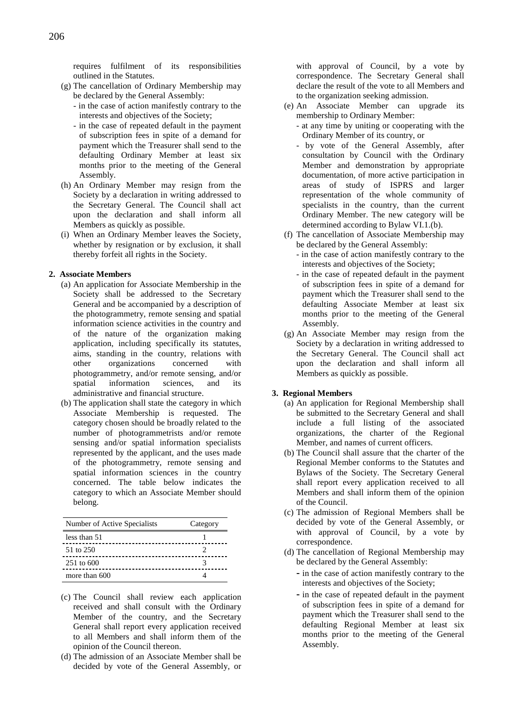requires fulfilment of its responsibilities outlined in the Statutes.

- (g) The cancellation of Ordinary Membership may be declared by the General Assembly:
	- in the case of action manifestly contrary to the interests and objectives of the Society;
	- in the case of repeated default in the payment of subscription fees in spite of a demand for payment which the Treasurer shall send to the defaulting Ordinary Member at least six months prior to the meeting of the General Assembly.
- (h) An Ordinary Member may resign from the Society by a declaration in writing addressed to the Secretary General. The Council shall act upon the declaration and shall inform all Members as quickly as possible.
- (i) When an Ordinary Member leaves the Society, whether by resignation or by exclusion, it shall thereby forfeit all rights in the Society.

# **2. Associate Members**

- (a) An application for Associate Membership in the Society shall be addressed to the Secretary General and be accompanied by a description of the photogrammetry, remote sensing and spatial information science activities in the country and of the nature of the organization making application, including specifically its statutes, aims, standing in the country, relations with other organizations concerned with photogrammetry, and/or remote sensing, and/or spatial information sciences, and its administrative and financial structure.
- (b) The application shall state the category in which Associate Membership is requested. The category chosen should be broadly related to the number of photogrammetrists and/or remote sensing and/or spatial information specialists represented by the applicant, and the uses made of the photogrammetry, remote sensing and spatial information sciences in the country concerned. The table below indicates the category to which an Associate Member should belong.

| Number of Active Specialists | Category |
|------------------------------|----------|
| less than 51                 |          |
| 51 to 250                    |          |
| $251 \text{ to } 600$        |          |
| more than 600                |          |

- (c) The Council shall review each application received and shall consult with the Ordinary Member of the country, and the Secretary General shall report every application received to all Members and shall inform them of the opinion of the Council thereon.
- (d) The admission of an Associate Member shall be decided by vote of the General Assembly, or

with approval of Council, by a vote by correspondence. The Secretary General shall declare the result of the vote to all Members and to the organization seeking admission.

- (e) An Associate Member can upgrade its membership to Ordinary Member:
	- at any time by uniting or cooperating with the Ordinary Member of its country, or
	- by vote of the General Assembly, after consultation by Council with the Ordinary Member and demonstration by appropriate documentation, of more active participation in areas of study of ISPRS and larger representation of the whole community of specialists in the country, than the current Ordinary Member. The new category will be determined according to Bylaw VI.1.(b).
- (f) The cancellation of Associate Membership may be declared by the General Assembly:
	- in the case of action manifestly contrary to the interests and objectives of the Society;
	- in the case of repeated default in the payment of subscription fees in spite of a demand for payment which the Treasurer shall send to the defaulting Associate Member at least six months prior to the meeting of the General Assembly.
- (g) An Associate Member may resign from the Society by a declaration in writing addressed to the Secretary General. The Council shall act upon the declaration and shall inform all Members as quickly as possible.

#### **3. Regional Members**

- (a) An application for Regional Membership shall be submitted to the Secretary General and shall include a full listing of the associated organizations, the charter of the Regional Member, and names of current officers.
- (b) The Council shall assure that the charter of the Regional Member conforms to the Statutes and Bylaws of the Society. The Secretary General shall report every application received to all Members and shall inform them of the opinion of the Council.
- (c) The admission of Regional Members shall be decided by vote of the General Assembly, or with approval of Council, by a vote by correspondence.
- (d) The cancellation of Regional Membership may be declared by the General Assembly:
	- **-** in the case of action manifestly contrary to the interests and objectives of the Society;
	- **-** in the case of repeated default in the payment of subscription fees in spite of a demand for payment which the Treasurer shall send to the defaulting Regional Member at least six months prior to the meeting of the General Assembly.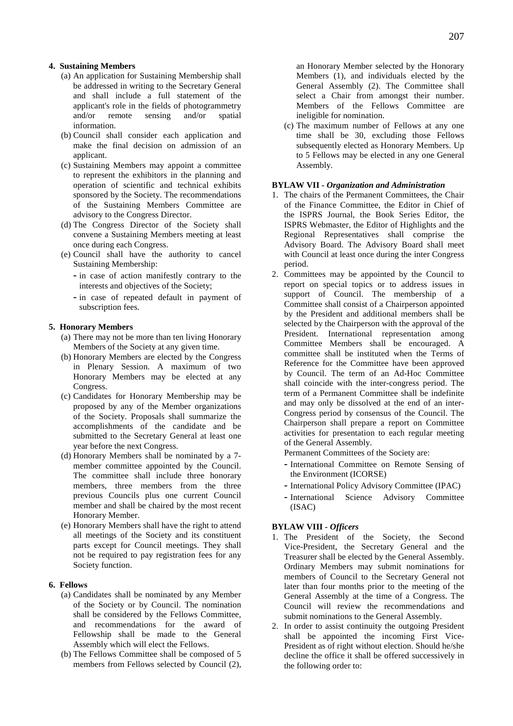#### **4. Sustaining Members**

- (a) An application for Sustaining Membership shall be addressed in writing to the Secretary General and shall include a full statement of the applicant's role in the fields of photogrammetry and/or remote sensing and/or spatial information.
- (b) Council shall consider each application and make the final decision on admission of an applicant.
- (c) Sustaining Members may appoint a committee to represent the exhibitors in the planning and operation of scientific and technical exhibits sponsored by the Society. The recommendations of the Sustaining Members Committee are advisory to the Congress Director.
- (d) The Congress Director of the Society shall convene a Sustaining Members meeting at least once during each Congress.
- (e) Council shall have the authority to cancel Sustaining Membership:
	- **-** in case of action manifestly contrary to the interests and objectives of the Society;
	- **-** in case of repeated default in payment of subscription fees.

#### **5. Honorary Members**

- (a) There may not be more than ten living Honorary Members of the Society at any given time.
- (b) Honorary Members are elected by the Congress in Plenary Session. A maximum of two Honorary Members may be elected at any Congress.
- (c) Candidates for Honorary Membership may be proposed by any of the Member organizations of the Society. Proposals shall summarize the accomplishments of the candidate and be submitted to the Secretary General at least one year before the next Congress.
- (d) Honorary Members shall be nominated by a 7 member committee appointed by the Council. The committee shall include three honorary members, three members from the three previous Councils plus one current Council member and shall be chaired by the most recent Honorary Member.
- (e) Honorary Members shall have the right to attend all meetings of the Society and its constituent parts except for Council meetings. They shall not be required to pay registration fees for any Society function.

#### **6. Fellows**

- (a) Candidates shall be nominated by any Member of the Society or by Council. The nomination shall be considered by the Fellows Committee, and recommendations for the award of Fellowship shall be made to the General Assembly which will elect the Fellows.
- (b) The Fellows Committee shall be composed of 5 members from Fellows selected by Council (2),

an Honorary Member selected by the Honorary Members (1), and individuals elected by the General Assembly (2). The Committee shall select a Chair from amongst their number. Members of the Fellows Committee are ineligible for nomination.

(c) The maximum number of Fellows at any one time shall be 30, excluding those Fellows subsequently elected as Honorary Members. Up to 5 Fellows may be elected in any one General Assembly.

# **BYLAW VII** *- Organization and Administration*

- 1. The chairs of the Permanent Committees, the Chair of the Finance Committee, the Editor in Chief of the ISPRS Journal, the Book Series Editor, the ISPRS Webmaster, the Editor of Highlights and the Regional Representatives shall comprise the Advisory Board. The Advisory Board shall meet with Council at least once during the inter Congress period.
- 2. Committees may be appointed by the Council to report on special topics or to address issues in support of Council. The membership of a Committee shall consist of a Chairperson appointed by the President and additional members shall be selected by the Chairperson with the approval of the President. International representation among Committee Members shall be encouraged. A committee shall be instituted when the Terms of Reference for the Committee have been approved by Council. The term of an Ad-Hoc Committee shall coincide with the inter-congress period. The term of a Permanent Committee shall be indefinite and may only be dissolved at the end of an inter-Congress period by consensus of the Council. The Chairperson shall prepare a report on Committee activities for presentation to each regular meeting of the General Assembly.
	- Permanent Committees of the Society are:
	- **-** International Committee on Remote Sensing of the Environment (ICORSE)
	- **-** International Policy Advisory Committee (IPAC)
	- **-** International Science Advisory Committee (ISAC)

#### **BYLAW VIII** *- Officers*

- 1. The President of the Society, the Second Vice-President, the Secretary General and the Treasurer shall be elected by the General Assembly. Ordinary Members may submit nominations for members of Council to the Secretary General not later than four months prior to the meeting of the General Assembly at the time of a Congress. The Council will review the recommendations and submit nominations to the General Assembly.
- 2. In order to assist continuity the outgoing President shall be appointed the incoming First Vice-President as of right without election. Should he/she decline the office it shall be offered successively in the following order to: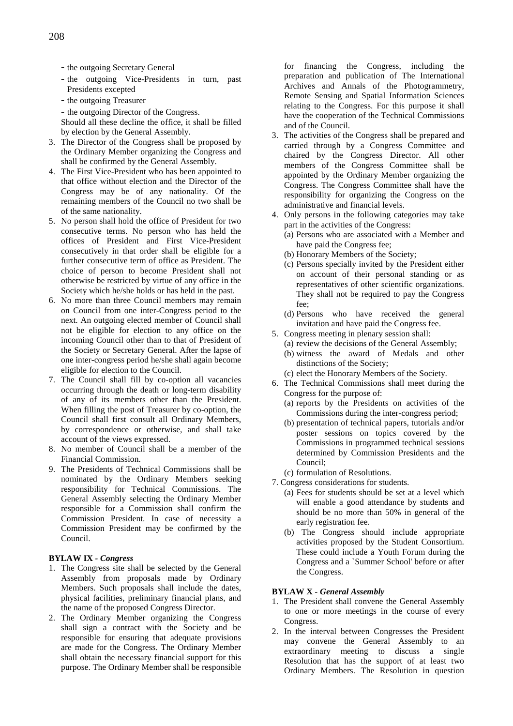- **-** the outgoing Secretary General
- **-** the outgoing Vice-Presidents in turn, past Presidents excepted
- **-** the outgoing Treasurer
- **-** the outgoing Director of the Congress.

Should all these decline the office, it shall be filled by election by the General Assembly.

- 3. The Director of the Congress shall be proposed by the Ordinary Member organizing the Congress and shall be confirmed by the General Assembly.
- 4. The First Vice-President who has been appointed to that office without election and the Director of the Congress may be of any nationality. Of the remaining members of the Council no two shall be of the same nationality.
- 5. No person shall hold the office of President for two consecutive terms. No person who has held the offices of President and First Vice-President consecutively in that order shall be eligible for a further consecutive term of office as President. The choice of person to become President shall not otherwise be restricted by virtue of any office in the Society which he/she holds or has held in the past.
- 6. No more than three Council members may remain on Council from one inter-Congress period to the next. An outgoing elected member of Council shall not be eligible for election to any office on the incoming Council other than to that of President of the Society or Secretary General. After the lapse of one inter-congress period he/she shall again become eligible for election to the Council.
- 7. The Council shall fill by co-option all vacancies occurring through the death or long-term disability of any of its members other than the President. When filling the post of Treasurer by co-option, the Council shall first consult all Ordinary Members, by correspondence or otherwise, and shall take account of the views expressed.
- 8. No member of Council shall be a member of the Financial Commission.
- 9. The Presidents of Technical Commissions shall be nominated by the Ordinary Members seeking responsibility for Technical Commissions. The General Assembly selecting the Ordinary Member responsible for a Commission shall confirm the Commission President. In case of necessity a Commission President may be confirmed by the Council.

# **BYLAW IX** *- Congress*

- 1. The Congress site shall be selected by the General Assembly from proposals made by Ordinary Members. Such proposals shall include the dates, physical facilities, preliminary financial plans, and the name of the proposed Congress Director.
- 2. The Ordinary Member organizing the Congress shall sign a contract with the Society and be responsible for ensuring that adequate provisions are made for the Congress. The Ordinary Member shall obtain the necessary financial support for this purpose. The Ordinary Member shall be responsible

for financing the Congress, including the preparation and publication of The International Archives and Annals of the Photogrammetry, Remote Sensing and Spatial Information Sciences relating to the Congress. For this purpose it shall have the cooperation of the Technical Commissions and of the Council.

- 3. The activities of the Congress shall be prepared and carried through by a Congress Committee and chaired by the Congress Director. All other members of the Congress Committee shall be appointed by the Ordinary Member organizing the Congress. The Congress Committee shall have the responsibility for organizing the Congress on the administrative and financial levels.
- 4. Only persons in the following categories may take part in the activities of the Congress:
	- (a) Persons who are associated with a Member and have paid the Congress fee;
	- (b) Honorary Members of the Society;
	- (c) Persons specially invited by the President either on account of their personal standing or as representatives of other scientific organizations. They shall not be required to pay the Congress fee;
	- (d) Persons who have received the general invitation and have paid the Congress fee.
- 5. Congress meeting in plenary session shall:
	- (a) review the decisions of the General Assembly;
	- (b) witness the award of Medals and other distinctions of the Society;
	- (c) elect the Honorary Members of the Society.
- 6. The Technical Commissions shall meet during the Congress for the purpose of:
	- (a) reports by the Presidents on activities of the Commissions during the inter-congress period;
	- (b) presentation of technical papers, tutorials and/or poster sessions on topics covered by the Commissions in programmed technical sessions determined by Commission Presidents and the Council;
	- (c) formulation of Resolutions.
- 7. Congress considerations for students.
	- (a) Fees for students should be set at a level which will enable a good attendance by students and should be no more than 50% in general of the early registration fee.
	- (b) The Congress should include appropriate activities proposed by the Student Consortium. These could include a Youth Forum during the Congress and a `Summer School' before or after the Congress.

#### **BYLAW X** *- General Assembly*

- 1. The President shall convene the General Assembly to one or more meetings in the course of every Congress.
- 2. In the interval between Congresses the President may convene the General Assembly to an extraordinary meeting to discuss a single Resolution that has the support of at least two Ordinary Members. The Resolution in question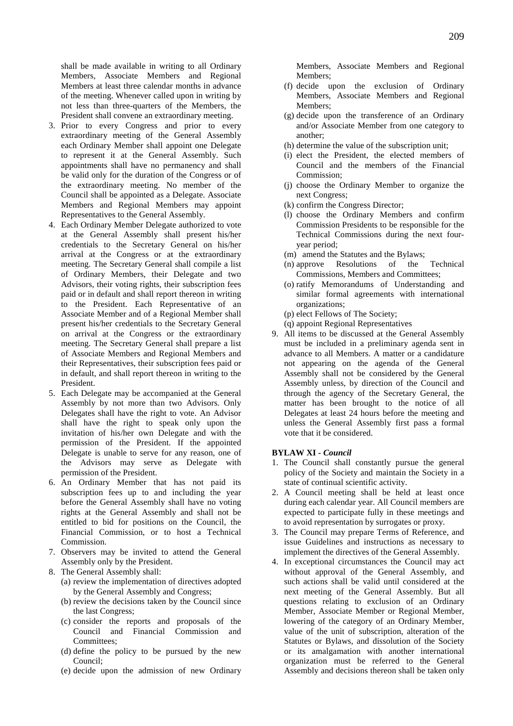shall be made available in writing to all Ordinary Members, Associate Members and Regional Members at least three calendar months in advance of the meeting. Whenever called upon in writing by not less than three-quarters of the Members, the President shall convene an extraordinary meeting.

- 3. Prior to every Congress and prior to every extraordinary meeting of the General Assembly each Ordinary Member shall appoint one Delegate to represent it at the General Assembly. Such appointments shall have no permanency and shall be valid only for the duration of the Congress or of the extraordinary meeting. No member of the Council shall be appointed as a Delegate. Associate Members and Regional Members may appoint Representatives to the General Assembly.
- 4. Each Ordinary Member Delegate authorized to vote at the General Assembly shall present his/her credentials to the Secretary General on his/her arrival at the Congress or at the extraordinary meeting. The Secretary General shall compile a list of Ordinary Members, their Delegate and two Advisors, their voting rights, their subscription fees paid or in default and shall report thereon in writing to the President. Each Representative of an Associate Member and of a Regional Member shall present his/her credentials to the Secretary General on arrival at the Congress or the extraordinary meeting. The Secretary General shall prepare a list of Associate Members and Regional Members and their Representatives, their subscription fees paid or in default, and shall report thereon in writing to the President.
- 5. Each Delegate may be accompanied at the General Assembly by not more than two Advisors. Only Delegates shall have the right to vote. An Advisor shall have the right to speak only upon the invitation of his/her own Delegate and with the permission of the President. If the appointed Delegate is unable to serve for any reason, one of the Advisors may serve as Delegate with permission of the President.
- 6. An Ordinary Member that has not paid its subscription fees up to and including the year before the General Assembly shall have no voting rights at the General Assembly and shall not be entitled to bid for positions on the Council, the Financial Commission, or to host a Technical Commission.
- 7. Observers may be invited to attend the General Assembly only by the President.
- 8. The General Assembly shall:
	- (a) review the implementation of directives adopted by the General Assembly and Congress;
	- (b) review the decisions taken by the Council since the last Congress;
	- (c) consider the reports and proposals of the Council and Financial Commission and Committees;
	- (d) define the policy to be pursued by the new Council;
	- (e) decide upon the admission of new Ordinary

Members, Associate Members and Regional Members<sup>.</sup>

- (f) decide upon the exclusion of Ordinary Members, Associate Members and Regional Members;
- (g) decide upon the transference of an Ordinary and/or Associate Member from one category to another;
- (h) determine the value of the subscription unit;
- (i) elect the President, the elected members of Council and the members of the Financial Commission;
- (j) choose the Ordinary Member to organize the next Congress;
- (k) confirm the Congress Director;
- (l) choose the Ordinary Members and confirm Commission Presidents to be responsible for the Technical Commissions during the next fouryear period;
- (m) amend the Statutes and the Bylaws;
- (n) approve Resolutions of the Technical Commissions, Members and Committees;
- (o) ratify Memorandums of Understanding and similar formal agreements with international organizations;
- (p) elect Fellows of The Society;
- (q) appoint Regional Representatives
- 9. All items to be discussed at the General Assembly must be included in a preliminary agenda sent in advance to all Members. A matter or a candidature not appearing on the agenda of the General Assembly shall not be considered by the General Assembly unless, by direction of the Council and through the agency of the Secretary General, the matter has been brought to the notice of all Delegates at least 24 hours before the meeting and unless the General Assembly first pass a formal vote that it be considered.

# **BYLAW XI** *- Council*

- 1. The Council shall constantly pursue the general policy of the Society and maintain the Society in a state of continual scientific activity.
- 2. A Council meeting shall be held at least once during each calendar year. All Council members are expected to participate fully in these meetings and to avoid representation by surrogates or proxy.
- 3. The Council may prepare Terms of Reference, and issue Guidelines and instructions as necessary to implement the directives of the General Assembly.
- 4. In exceptional circumstances the Council may act without approval of the General Assembly, and such actions shall be valid until considered at the next meeting of the General Assembly. But all questions relating to exclusion of an Ordinary Member, Associate Member or Regional Member, lowering of the category of an Ordinary Member, value of the unit of subscription, alteration of the Statutes or Bylaws, and dissolution of the Society or its amalgamation with another international organization must be referred to the General Assembly and decisions thereon shall be taken only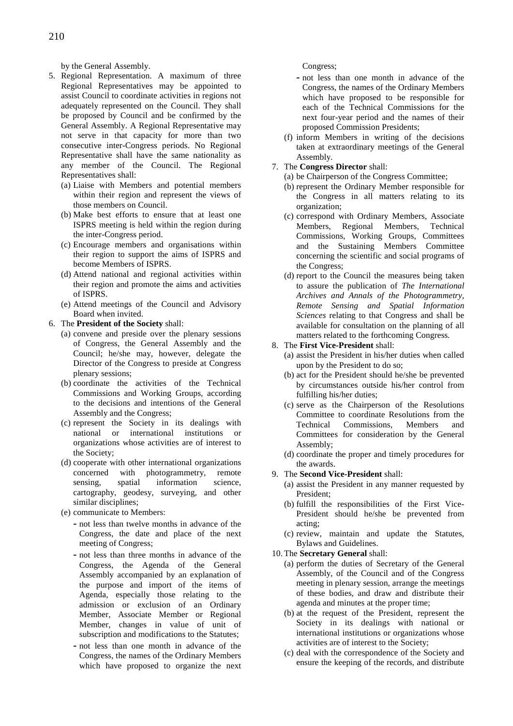by the General Assembly.

- 5. Regional Representation. A maximum of three Regional Representatives may be appointed to assist Council to coordinate activities in regions not adequately represented on the Council. They shall be proposed by Council and be confirmed by the General Assembly. A Regional Representative may not serve in that capacity for more than two consecutive inter-Congress periods. No Regional Representative shall have the same nationality as any member of the Council. The Regional Representatives shall:
	- (a) Liaise with Members and potential members within their region and represent the views of those members on Council.
	- (b) Make best efforts to ensure that at least one ISPRS meeting is held within the region during the inter-Congress period.
	- (c) Encourage members and organisations within their region to support the aims of ISPRS and become Members of ISPRS.
	- (d) Attend national and regional activities within their region and promote the aims and activities of ISPRS.
	- (e) Attend meetings of the Council and Advisory Board when invited.
- 6. The **President of the Society** shall:
	- (a) convene and preside over the plenary sessions of Congress, the General Assembly and the Council; he/she may, however, delegate the Director of the Congress to preside at Congress plenary sessions;
	- (b) coordinate the activities of the Technical Commissions and Working Groups, according to the decisions and intentions of the General Assembly and the Congress;
	- (c) represent the Society in its dealings with national or international institutions or organizations whose activities are of interest to the Society;
	- (d) cooperate with other international organizations concerned with photogrammetry, remote sensing, spatial information science, cartography, geodesy, surveying, and other similar disciplines;
	- (e) communicate to Members:
		- **-** not less than twelve months in advance of the Congress, the date and place of the next meeting of Congress;
		- **-** not less than three months in advance of the Congress, the Agenda of the General Assembly accompanied by an explanation of the purpose and import of the items of Agenda, especially those relating to the admission or exclusion of an Ordinary Member, Associate Member or Regional Member, changes in value of unit of subscription and modifications to the Statutes;
		- **-** not less than one month in advance of the Congress, the names of the Ordinary Members which have proposed to organize the next

Congress;

- **-** not less than one month in advance of the Congress, the names of the Ordinary Members which have proposed to be responsible for each of the Technical Commissions for the next four-year period and the names of their proposed Commission Presidents;
- (f) inform Members in writing of the decisions taken at extraordinary meetings of the General Assembly.
- 7. The **Congress Director** shall:
	- (a) be Chairperson of the Congress Committee;
	- (b) represent the Ordinary Member responsible for the Congress in all matters relating to its organization;
	- (c) correspond with Ordinary Members, Associate Members, Regional Members, Technical Commissions, Working Groups, Committees and the Sustaining Members Committee concerning the scientific and social programs of the Congress;
	- (d) report to the Council the measures being taken to assure the publication of *The International Archives and Annals of the Photogrammetry, Remote Sensing and Spatial Information Sciences* relating to that Congress and shall be available for consultation on the planning of all matters related to the forthcoming Congress.

# 8. The **First Vice-President** shall:

- (a) assist the President in his/her duties when called upon by the President to do so;
- (b) act for the President should he/she be prevented by circumstances outside his/her control from fulfilling his/her duties;
- (c) serve as the Chairperson of the Resolutions Committee to coordinate Resolutions from the Technical Commissions, Members and Committees for consideration by the General Assembly;
- (d) coordinate the proper and timely procedures for the awards.
- 9. The **Second Vice-President** shall:
	- (a) assist the President in any manner requested by President;
	- (b) fulfill the responsibilities of the First Vice-President should he/she be prevented from acting;
	- (c) review, maintain and update the Statutes, Bylaws and Guidelines.
- 10. The **Secretary General** shall:
	- (a) perform the duties of Secretary of the General Assembly, of the Council and of the Congress meeting in plenary session, arrange the meetings of these bodies, and draw and distribute their agenda and minutes at the proper time;
	- (b) at the request of the President, represent the Society in its dealings with national or international institutions or organizations whose activities are of interest to the Society;
	- (c) deal with the correspondence of the Society and ensure the keeping of the records, and distribute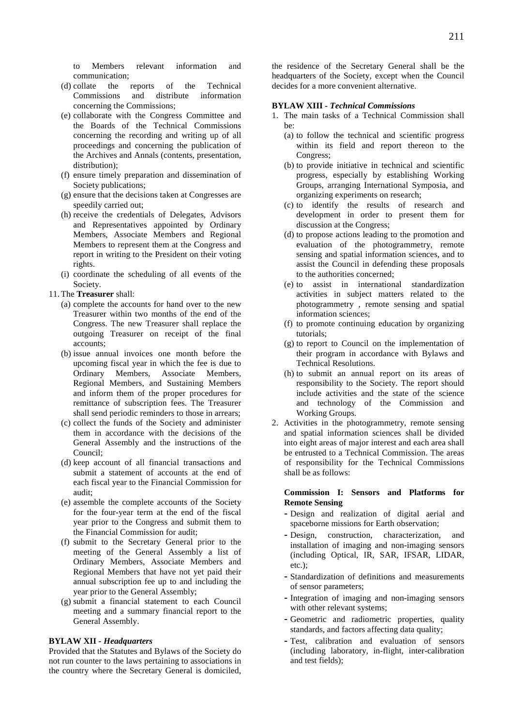to Members relevant information and communication;

- (d) collate the reports of the Technical Commissions and distribute information concerning the Commissions;
- (e) collaborate with the Congress Committee and the Boards of the Technical Commissions concerning the recording and writing up of all proceedings and concerning the publication of the Archives and Annals (contents, presentation, distribution):
- (f) ensure timely preparation and dissemination of Society publications;
- (g) ensure that the decisions taken at Congresses are speedily carried out;
- (h) receive the credentials of Delegates, Advisors and Representatives appointed by Ordinary Members, Associate Members and Regional Members to represent them at the Congress and report in writing to the President on their voting rights.
- (i) coordinate the scheduling of all events of the Society.
- 11. The **Treasurer** shall:
	- (a) complete the accounts for hand over to the new Treasurer within two months of the end of the Congress. The new Treasurer shall replace the outgoing Treasurer on receipt of the final accounts;
	- (b) issue annual invoices one month before the upcoming fiscal year in which the fee is due to Ordinary Members, Associate Members, Regional Members, and Sustaining Members and inform them of the proper procedures for remittance of subscription fees. The Treasurer shall send periodic reminders to those in arrears;
	- (c) collect the funds of the Society and administer them in accordance with the decisions of the General Assembly and the instructions of the Council;
	- (d) keep account of all financial transactions and submit a statement of accounts at the end of each fiscal year to the Financial Commission for audit;
	- (e) assemble the complete accounts of the Society for the four-year term at the end of the fiscal year prior to the Congress and submit them to the Financial Commission for audit;
	- (f) submit to the Secretary General prior to the meeting of the General Assembly a list of Ordinary Members, Associate Members and Regional Members that have not yet paid their annual subscription fee up to and including the year prior to the General Assembly;
	- (g) submit a financial statement to each Council meeting and a summary financial report to the General Assembly.

# **BYLAW XII** *- Headquarters*

Provided that the Statutes and Bylaws of the Society do not run counter to the laws pertaining to associations in the country where the Secretary General is domiciled,

the residence of the Secretary General shall be the headquarters of the Society, except when the Council decides for a more convenient alternative.

#### **BYLAW XIII** *- Technical Commissions*

- 1. The main tasks of a Technical Commission shall be:
	- (a) to follow the technical and scientific progress within its field and report thereon to the Congress;
	- (b) to provide initiative in technical and scientific progress, especially by establishing Working Groups, arranging International Symposia, and organizing experiments on research;
	- (c) to identify the results of research and development in order to present them for discussion at the Congress;
	- (d) to propose actions leading to the promotion and evaluation of the photogrammetry, remote sensing and spatial information sciences, and to assist the Council in defending these proposals to the authorities concerned;
	- (e) to assist in international standardization activities in subject matters related to the photogrammetry , remote sensing and spatial information sciences;
	- (f) to promote continuing education by organizing tutorials;
	- (g) to report to Council on the implementation of their program in accordance with Bylaws and Technical Resolutions.
	- (h) to submit an annual report on its areas of responsibility to the Society. The report should include activities and the state of the science and technology of the Commission and Working Groups.
- 2. Activities in the photogrammetry, remote sensing and spatial information sciences shall be divided into eight areas of major interest and each area shall be entrusted to a Technical Commission. The areas of responsibility for the Technical Commissions shall be as follows:

# **Commission I: Sensors and Platforms for Remote Sensing**

- **-** Design and realization of digital aerial and spaceborne missions for Earth observation;
- **-** Design, construction, characterization, and installation of imaging and non-imaging sensors (including Optical, IR, SAR, IFSAR, LIDAR, etc.);
- **-** Standardization of definitions and measurements of sensor parameters;
- **-** Integration of imaging and non-imaging sensors with other relevant systems;
- **-** Geometric and radiometric properties, quality standards, and factors affecting data quality;
- **-** Test, calibration and evaluation of sensors (including laboratory, in-flight, inter-calibration and test fields);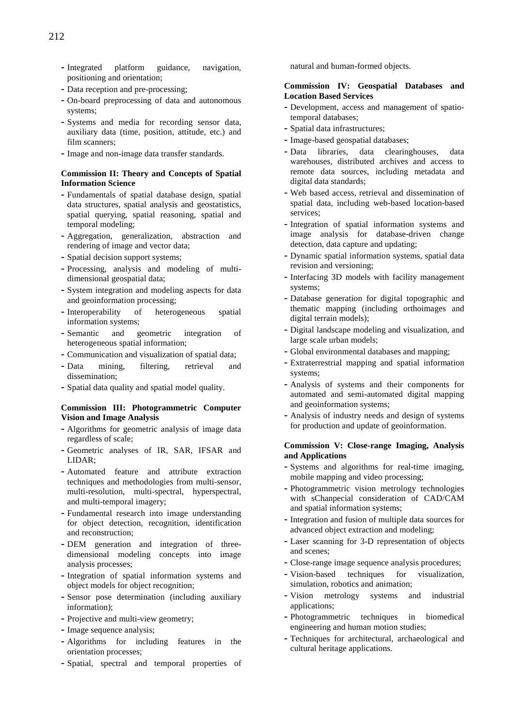- **-** Integrated platform guidance, navigation, positioning and orientation;
- **-** Data reception and pre-processing;
- **-** On-board preprocessing of data and autonomous systems;
- **-** Systems and media for recording sensor data, auxiliary data (time, position, attitude, etc.) and film scanners;
- **-** Image and non-image data transfer standards.

# **Commission II: Theory and Concepts of Spatial Information Science**

- **-** Fundamentals of spatial database design, spatial data structures, spatial analysis and geostatistics, spatial querying, spatial reasoning, spatial and temporal modeling;
- **-** Aggregation, generalization, abstraction and rendering of image and vector data;
- **-** Spatial decision support systems;
- **-** Processing, analysis and modeling of multidimensional geospatial data;
- **-** System integration and modeling aspects for data and geoinformation processing;
- **-** Interoperability of heterogeneous spatial information systems;
- **-** Semantic and geometric integration of heterogeneous spatial information;
- **-** Communication and visualization of spatial data;
- **-** Data mining, filtering, retrieval and dissemination;
- **-** Spatial data quality and spatial model quality.

# **Commission III: Photogrammetric Computer Vision and Image Analysis**

- **-** Algorithms for geometric analysis of image data regardless of scale;
- **-** Geometric analyses of IR, SAR, IFSAR and LIDAR;
- **-** Automated feature and attribute extraction techniques and methodologies from multi-sensor, multi-resolution, multi-spectral, hyperspectral, and multi-temporal imagery;
- **-** Fundamental research into image understanding for object detection, recognition, identification and reconstruction;
- **-** DEM generation and integration of threedimensional modeling concepts into image analysis processes;
- **-** Integration of spatial information systems and object models for object recognition;
- **-** Sensor pose determination (including auxiliary information);
- **-** Projective and multi-view geometry;
- **-** Image sequence analysis;
- **-** Algorithms for including features in the orientation processes;
- **-** Spatial, spectral and temporal properties of

natural and human-formed objects.

# **Commission IV: Geospatial Databases and Location Based Services**

- **-** Development, access and management of spatiotemporal databases;
- **-** Spatial data infrastructures;
- **-** Image-based geospatial databases;
- **-** Data libraries, data clearinghouses, data warehouses, distributed archives and access to remote data sources, including metadata and digital data standards;
- **-** Web based access, retrieval and dissemination of spatial data, including web-based location-based services;
- **-** Integration of spatial information systems and image analysis for database-driven change detection, data capture and updating;
- **-** Dynamic spatial information systems, spatial data revision and versioning;
- **-** Interfacing 3D models with facility management systems;
- **-** Database generation for digital topographic and thematic mapping (including orthoimages and digital terrain models);
- **-** Digital landscape modeling and visualization, and large scale urban models;
- **-** Global environmental databases and mapping;
- **-** Extraterrestrial mapping and spatial information systems;
- **-** Analysis of systems and their components for automated and semi-automated digital mapping and geoinformation systems;
- **-** Analysis of industry needs and design of systems for production and update of geoinformation.

# **Commission V: Close-range Imaging, Analysis and Applications**

- **-** Systems and algorithms for real-time imaging, mobile mapping and video processing;
- **-** Photogrammetric vision metrology technologies with sChanpecial consideration of CAD/CAM and spatial information systems;
- **-** Integration and fusion of multiple data sources for advanced object extraction and modeling;
- **-** Laser scanning for 3-D representation of objects and scenes;
- **-** Close-range image sequence analysis procedures;
- **-** Vision-based techniques for visualization, simulation, robotics and animation;
- **-** Vision metrology systems and industrial applications;
- **-** Photogrammetric techniques in biomedical engineering and human motion studies;
- **-** Techniques for architectural, archaeological and cultural heritage applications.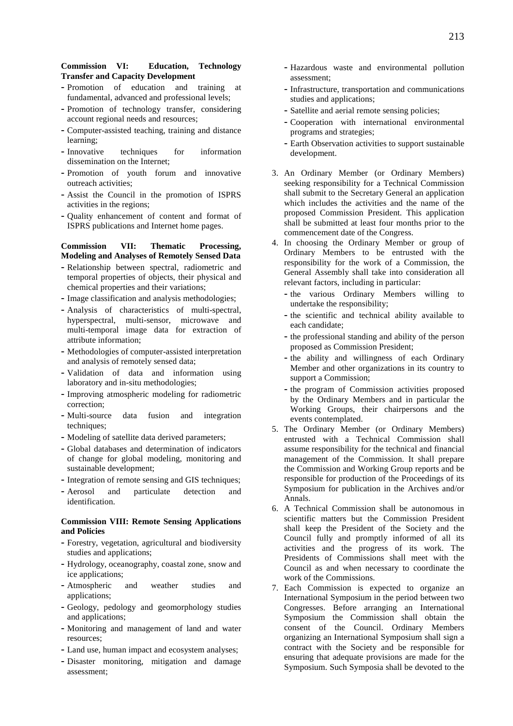- **-** Promotion of education and training at fundamental, advanced and professional levels;
- **-** Promotion of technology transfer, considering account regional needs and resources;
- **-** Computer-assisted teaching, training and distance learning;
- **-** Innovative techniques for information dissemination on the Internet;
- **-** Promotion of youth forum and innovative outreach activities;
- **-** Assist the Council in the promotion of ISPRS activities in the regions;
- **-** Quality enhancement of content and format of ISPRS publications and Internet home pages.

# **Commission VII: Thematic Processing, Modeling and Analyses of Remotely Sensed Data**

- **-** Relationship between spectral, radiometric and temporal properties of objects, their physical and chemical properties and their variations;
- **-** Image classification and analysis methodologies;
- **-** Analysis of characteristics of multi-spectral, hyperspectral, multi-sensor, microwave and multi-temporal image data for extraction of attribute information;
- **-** Methodologies of computer-assisted interpretation and analysis of remotely sensed data;
- **-** Validation of data and information using laboratory and in-situ methodologies;
- **-** Improving atmospheric modeling for radiometric correction;
- **-** Multi-source data fusion and integration techniques;
- **-** Modeling of satellite data derived parameters;
- **-** Global databases and determination of indicators of change for global modeling, monitoring and sustainable development;
- **-** Integration of remote sensing and GIS techniques;
- **-** Aerosol and particulate detection and identification.

# **Commission VIII: Remote Sensing Applications and Policies**

- **-** Forestry, vegetation, agricultural and biodiversity studies and applications;
- **-** Hydrology, oceanography, coastal zone, snow and ice applications;
- **-** Atmospheric and weather studies and applications;
- **-** Geology, pedology and geomorphology studies and applications;
- **-** Monitoring and management of land and water resources;
- **-** Land use, human impact and ecosystem analyses;
- **-** Disaster monitoring, mitigation and damage assessment;
- **-** Hazardous waste and environmental pollution assessment;
- **-** Infrastructure, transportation and communications studies and applications;
- **-** Satellite and aerial remote sensing policies;
- **-** Cooperation with international environmental programs and strategies;
- **-** Earth Observation activities to support sustainable development.
- 3. An Ordinary Member (or Ordinary Members) seeking responsibility for a Technical Commission shall submit to the Secretary General an application which includes the activities and the name of the proposed Commission President. This application shall be submitted at least four months prior to the commencement date of the Congress.
- 4. In choosing the Ordinary Member or group of Ordinary Members to be entrusted with the responsibility for the work of a Commission, the General Assembly shall take into consideration all relevant factors, including in particular:
	- **-** the various Ordinary Members willing to undertake the responsibility;
	- **-** the scientific and technical ability available to each candidate;
	- **-** the professional standing and ability of the person proposed as Commission President;
	- **-** the ability and willingness of each Ordinary Member and other organizations in its country to support a Commission;
	- **-** the program of Commission activities proposed by the Ordinary Members and in particular the Working Groups, their chairpersons and the events contemplated.
- 5. The Ordinary Member (or Ordinary Members) entrusted with a Technical Commission shall assume responsibility for the technical and financial management of the Commission. It shall prepare the Commission and Working Group reports and be responsible for production of the Proceedings of its Symposium for publication in the Archives and/or Annals.
- 6. A Technical Commission shall be autonomous in scientific matters but the Commission President shall keep the President of the Society and the Council fully and promptly informed of all its activities and the progress of its work. The Presidents of Commissions shall meet with the Council as and when necessary to coordinate the work of the Commissions.
- 7. Each Commission is expected to organize an International Symposium in the period between two Congresses. Before arranging an International Symposium the Commission shall obtain the consent of the Council. Ordinary Members organizing an International Symposium shall sign a contract with the Society and be responsible for ensuring that adequate provisions are made for the Symposium. Such Symposia shall be devoted to the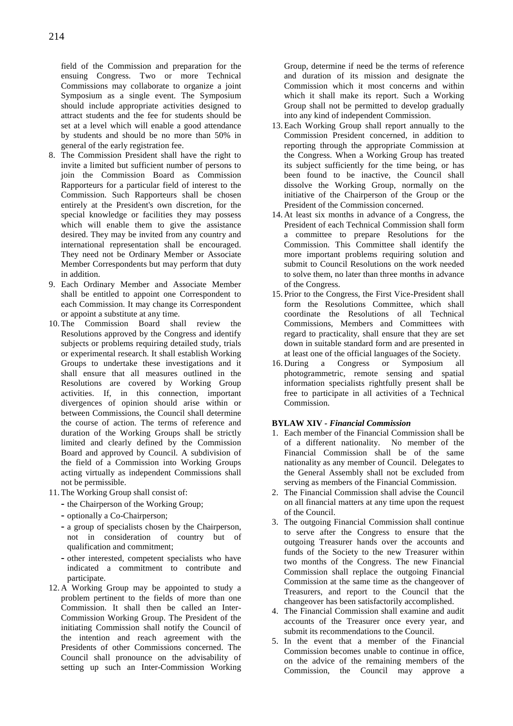field of the Commission and preparation for the ensuing Congress. Two or more Technical Commissions may collaborate to organize a joint Symposium as a single event. The Symposium should include appropriate activities designed to attract students and the fee for students should be set at a level which will enable a good attendance by students and should be no more than 50% in general of the early registration fee.

- 8. The Commission President shall have the right to invite a limited but sufficient number of persons to join the Commission Board as Commission Rapporteurs for a particular field of interest to the Commission. Such Rapporteurs shall be chosen entirely at the President's own discretion, for the special knowledge or facilities they may possess which will enable them to give the assistance desired. They may be invited from any country and international representation shall be encouraged. They need not be Ordinary Member or Associate Member Correspondents but may perform that duty in addition.
- 9. Each Ordinary Member and Associate Member shall be entitled to appoint one Correspondent to each Commission. It may change its Correspondent or appoint a substitute at any time.
- 10. The Commission Board shall review the Resolutions approved by the Congress and identify subjects or problems requiring detailed study, trials or experimental research. It shall establish Working Groups to undertake these investigations and it shall ensure that all measures outlined in the Resolutions are covered by Working Group activities. If, in this connection, important divergences of opinion should arise within or between Commissions, the Council shall determine the course of action. The terms of reference and duration of the Working Groups shall be strictly limited and clearly defined by the Commission Board and approved by Council. A subdivision of the field of a Commission into Working Groups acting virtually as independent Commissions shall not be permissible.
- 11. The Working Group shall consist of:
	- **-** the Chairperson of the Working Group;
	- **-** optionally a Co-Chairperson;
	- **-** a group of specialists chosen by the Chairperson, not in consideration of country but of qualification and commitment;
	- **-** other interested, competent specialists who have indicated a commitment to contribute and participate.
- 12. A Working Group may be appointed to study a problem pertinent to the fields of more than one Commission. It shall then be called an Inter-Commission Working Group. The President of the initiating Commission shall notify the Council of the intention and reach agreement with the Presidents of other Commissions concerned. The Council shall pronounce on the advisability of setting up such an Inter-Commission Working

Group, determine if need be the terms of reference and duration of its mission and designate the Commission which it most concerns and within which it shall make its report. Such a Working Group shall not be permitted to develop gradually into any kind of independent Commission.

- 13. Each Working Group shall report annually to the Commission President concerned, in addition to reporting through the appropriate Commission at the Congress. When a Working Group has treated its subject sufficiently for the time being, or has been found to be inactive, the Council shall dissolve the Working Group, normally on the initiative of the Chairperson of the Group or the President of the Commission concerned.
- 14. At least six months in advance of a Congress, the President of each Technical Commission shall form a committee to prepare Resolutions for the Commission. This Committee shall identify the more important problems requiring solution and submit to Council Resolutions on the work needed to solve them, no later than three months in advance of the Congress.
- 15. Prior to the Congress, the First Vice-President shall form the Resolutions Committee, which shall coordinate the Resolutions of all Technical Commissions, Members and Committees with regard to practicality, shall ensure that they are set down in suitable standard form and are presented in at least one of the official languages of the Society.
- 16. During a Congress or Symposium all photogrammetric, remote sensing and spatial information specialists rightfully present shall be free to participate in all activities of a Technical Commission.

# **BYLAW XIV** *- Financial Commission*

- 1. Each member of the Financial Commission shall be of a different nationality. No member of the Financial Commission shall be of the same nationality as any member of Council. Delegates to the General Assembly shall not be excluded from serving as members of the Financial Commission.
- 2. The Financial Commission shall advise the Council on all financial matters at any time upon the request of the Council.
- 3. The outgoing Financial Commission shall continue to serve after the Congress to ensure that the outgoing Treasurer hands over the accounts and funds of the Society to the new Treasurer within two months of the Congress. The new Financial Commission shall replace the outgoing Financial Commission at the same time as the changeover of Treasurers, and report to the Council that the changeover has been satisfactorily accomplished.
- 4. The Financial Commission shall examine and audit accounts of the Treasurer once every year, and submit its recommendations to the Council.
- 5. In the event that a member of the Financial Commission becomes unable to continue in office, on the advice of the remaining members of the Commission, the Council may approve a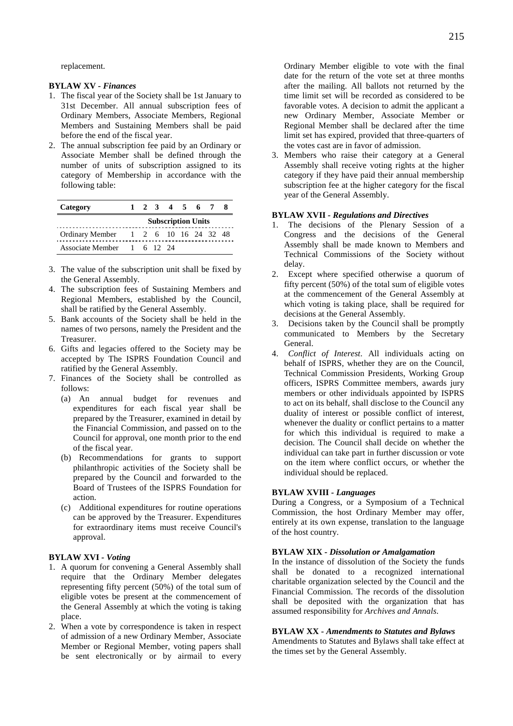replacement.

# **BYLAW XV** *- Finances*

- 1. The fiscal year of the Society shall be 1st January to 31st December. All annual subscription fees of Ordinary Members, Associate Members, Regional Members and Sustaining Members shall be paid before the end of the fiscal year.
- 2. The annual subscription fee paid by an Ordinary or Associate Member shall be defined through the number of units of subscription assigned to its category of Membership in accordance with the following table:

| Category                             |                           |  |  | 1 2 3 4 5 6 7 |  |  |  |  |
|--------------------------------------|---------------------------|--|--|---------------|--|--|--|--|
|                                      | <b>Subscription Units</b> |  |  |               |  |  |  |  |
| Ordinary Member 1 2 6 10 16 24 32 48 |                           |  |  |               |  |  |  |  |
| Associate Member 1 6 12 24           |                           |  |  |               |  |  |  |  |

- 3. The value of the subscription unit shall be fixed by the General Assembly.
- 4. The subscription fees of Sustaining Members and Regional Members, established by the Council, shall be ratified by the General Assembly.
- 5. Bank accounts of the Society shall be held in the names of two persons, namely the President and the Treasurer.
- 6. Gifts and legacies offered to the Society may be accepted by The ISPRS Foundation Council and ratified by the General Assembly.
- 7. Finances of the Society shall be controlled as follows:
	- (a) An annual budget for revenues and expenditures for each fiscal year shall be prepared by the Treasurer, examined in detail by the Financial Commission, and passed on to the Council for approval, one month prior to the end of the fiscal year.
	- (b) Recommendations for grants to support philanthropic activities of the Society shall be prepared by the Council and forwarded to the Board of Trustees of the ISPRS Foundation for action.
	- (c) Additional expenditures for routine operations can be approved by the Treasurer. Expenditures for extraordinary items must receive Council's approval.

# **BYLAW XVI** *- Voting*

- 1. A quorum for convening a General Assembly shall require that the Ordinary Member delegates representing fifty percent (50%) of the total sum of eligible votes be present at the commencement of the General Assembly at which the voting is taking place.
- 2. When a vote by correspondence is taken in respect of admission of a new Ordinary Member, Associate Member or Regional Member, voting papers shall be sent electronically or by airmail to every

Ordinary Member eligible to vote with the final date for the return of the vote set at three months after the mailing. All ballots not returned by the time limit set will be recorded as considered to be favorable votes. A decision to admit the applicant a new Ordinary Member, Associate Member or Regional Member shall be declared after the time limit set has expired, provided that three-quarters of the votes cast are in favor of admission.

3. Members who raise their category at a General Assembly shall receive voting rights at the higher category if they have paid their annual membership subscription fee at the higher category for the fiscal year of the General Assembly.

# **BYLAW XVII** *- Regulations and Directives*

- 1. The decisions of the Plenary Session of a Congress and the decisions of the General Assembly shall be made known to Members and Technical Commissions of the Society without delay.
- 2. Except where specified otherwise a quorum of fifty percent (50%) of the total sum of eligible votes at the commencement of the General Assembly at which voting is taking place, shall be required for decisions at the General Assembly.
- 3. Decisions taken by the Council shall be promptly communicated to Members by the Secretary General.
- 4. *Conflict of Interest*. All individuals acting on behalf of ISPRS, whether they are on the Council, Technical Commission Presidents, Working Group officers, ISPRS Committee members, awards jury members or other individuals appointed by ISPRS to act on its behalf, shall disclose to the Council any duality of interest or possible conflict of interest, whenever the duality or conflict pertains to a matter for which this individual is required to make a decision. The Council shall decide on whether the individual can take part in further discussion or vote on the item where conflict occurs, or whether the individual should be replaced.

# **BYLAW XVIII** *- Languages*

During a Congress, or a Symposium of a Technical Commission, the host Ordinary Member may offer, entirely at its own expense, translation to the language of the host country.

# **BYLAW XIX** *- Dissolution or Amalgamation*

In the instance of dissolution of the Society the funds shall be donated to a recognized international charitable organization selected by the Council and the Financial Commission. The records of the dissolution shall be deposited with the organization that has assumed responsibility for *Archives and Annals*.

# **BYLAW XX** *- Amendments to Statutes and Bylaws*

Amendments to Statutes and Bylaws shall take effect at the times set by the General Assembly.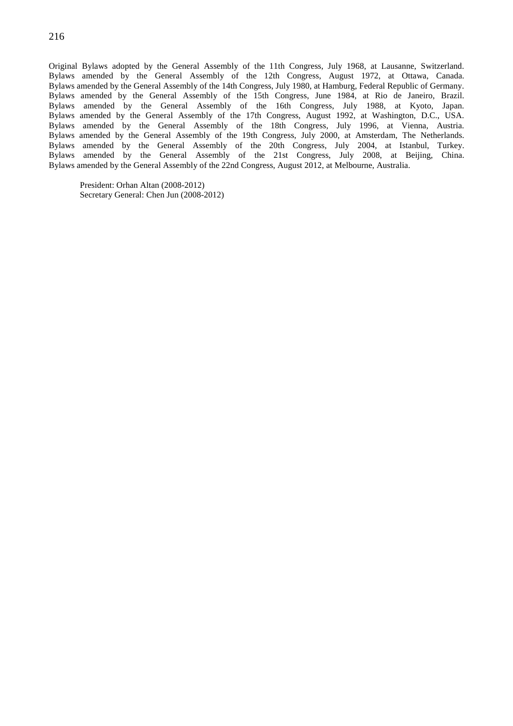Original Bylaws adopted by the General Assembly of the 11th Congress, July 1968, at Lausanne, Switzerland. Bylaws amended by the General Assembly of the 12th Congress, August 1972, at Ottawa, Canada. Bylaws amended by the General Assembly of the 14th Congress, July 1980, at Hamburg, Federal Republic of Germany. Bylaws amended by the General Assembly of the 15th Congress, June 1984, at Rio de Janeiro, Brazil. Bylaws amended by the General Assembly of the 16th Congress, July 1988, at Kyoto, Japan. Bylaws amended by the General Assembly of the 17th Congress, August 1992, at Washington, D.C., USA. Bylaws amended by the General Assembly of the 18th Congress, July 1996, at Vienna, Austria. Bylaws amended by the General Assembly of the 19th Congress, July 2000, at Amsterdam, The Netherlands. Bylaws amended by the General Assembly of the 20th Congress, July 2004, at Istanbul, Turkey. Bylaws amended by the General Assembly of the 21st Congress, July 2008, at Beijing, China. Bylaws amended by the General Assembly of the 22nd Congress, August 2012, at Melbourne, Australia.

President: Orhan Altan (2008-2012) Secretary General: Chen Jun (2008-2012)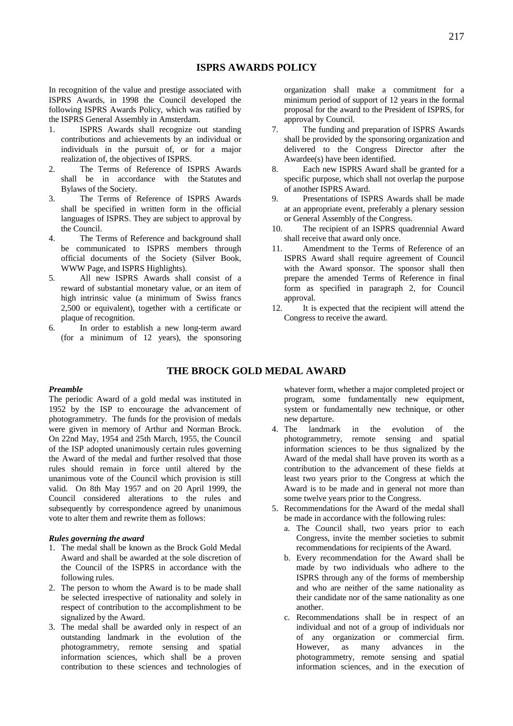In recognition of the value and prestige associated with ISPRS Awards, in 1998 the Council developed the following ISPRS Awards Policy, which was ratified by the ISPRS General Assembly in Amsterdam.

- 1. ISPRS Awards shall recognize out standing contributions and achievements by an individual or individuals in the pursuit of, or for a major realization of, the objectives of ISPRS.
- 2. The Terms of Reference of ISPRS Awards shall be in accordance with the Statutes and Bylaws of the Society.
- 3. The Terms of Reference of ISPRS Awards shall be specified in written form in the official languages of ISPRS. They are subject to approval by the Council.
- 4. The Terms of Reference and background shall be communicated to ISPRS members through official documents of the Society (Silver Book, WWW Page, and ISPRS Highlights).
- 5. All new ISPRS Awards shall consist of a reward of substantial monetary value, or an item of high intrinsic value (a minimum of Swiss francs 2,500 or equivalent), together with a certificate or plaque of recognition.
- 6. In order to establish a new long-term award (for a minimum of 12 years), the sponsoring

organization shall make a commitment for a minimum period of support of 12 years in the formal proposal for the award to the President of ISPRS, for approval by Council.

- 7. The funding and preparation of ISPRS Awards shall be provided by the sponsoring organization and delivered to the Congress Director after the Awardee(s) have been identified.
- 8. Each new ISPRS Award shall be granted for a specific purpose, which shall not overlap the purpose of another ISPRS Award.
- 9. Presentations of ISPRS Awards shall be made at an appropriate event, preferably a plenary session or General Assembly of the Congress.
- 10. The recipient of an ISPRS quadrennial Award shall receive that award only once.
- 11. Amendment to the Terms of Reference of an ISPRS Award shall require agreement of Council with the Award sponsor. The sponsor shall then prepare the amended Terms of Reference in final form as specified in paragraph 2, for Council approval.
- 12. It is expected that the recipient will attend the Congress to receive the award.

# **THE BROCK GOLD MEDAL AWARD**

# *Preamble*

The periodic Award of a gold medal was instituted in 1952 by the ISP to encourage the advancement of photogrammetry. The funds for the provision of medals were given in memory of Arthur and Norman Brock. On 22nd May, 1954 and 25th March, 1955, the Council of the ISP adopted unanimously certain rules governing the Award of the medal and further resolved that those rules should remain in force until altered by the unanimous vote of the Council which provision is still valid. On 8th May 1957 and on 20 April 1999, the Council considered alterations to the rules and subsequently by correspondence agreed by unanimous vote to alter them and rewrite them as follows:

# *Rules governing the award*

- 1. The medal shall be known as the Brock Gold Medal Award and shall be awarded at the sole discretion of the Council of the ISPRS in accordance with the following rules.
- 2. The person to whom the Award is to be made shall be selected irrespective of nationality and solely in respect of contribution to the accomplishment to be signalized by the Award.
- 3. The medal shall be awarded only in respect of an outstanding landmark in the evolution of the photogrammetry, remote sensing and spatial information sciences, which shall be a proven contribution to these sciences and technologies of

whatever form, whether a major completed project or program, some fundamentally new equipment, system or fundamentally new technique, or other new departure.

- 4. The landmark in the evolution of the photogrammetry, remote sensing and spatial information sciences to be thus signalized by the Award of the medal shall have proven its worth as a contribution to the advancement of these fields at least two years prior to the Congress at which the Award is to be made and in general not more than some twelve years prior to the Congress.
- 5. Recommendations for the Award of the medal shall be made in accordance with the following rules:
	- a. The Council shall, two years prior to each Congress, invite the member societies to submit recommendations for recipients of the Award.
	- b. Every recommendation for the Award shall be made by two individuals who adhere to the ISPRS through any of the forms of membership and who are neither of the same nationality as their candidate nor of the same nationality as one another.
	- c. Recommendations shall be in respect of an individual and not of a group of individuals nor of any organization or commercial firm. However, as many advances in the photogrammetry, remote sensing and spatial information sciences, and in the execution of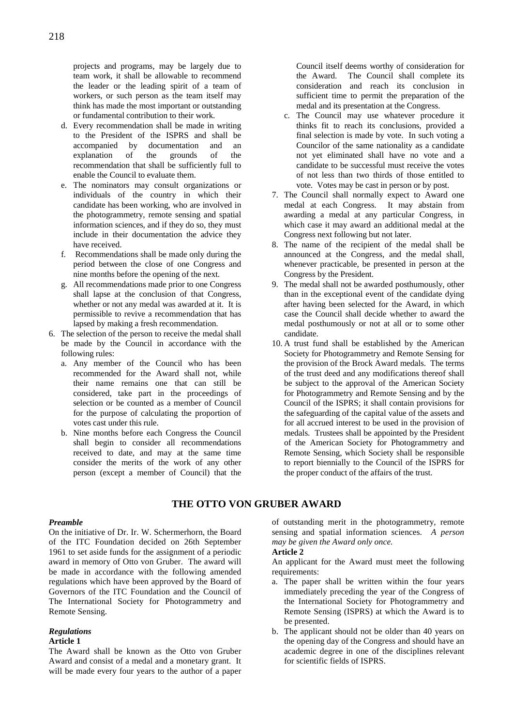projects and programs, may be largely due to team work, it shall be allowable to recommend the leader or the leading spirit of a team of workers, or such person as the team itself may think has made the most important or outstanding or fundamental contribution to their work.

- d. Every recommendation shall be made in writing to the President of the ISPRS and shall be accompanied by documentation and an explanation of the grounds of the recommendation that shall be sufficiently full to enable the Council to evaluate them.
- e. The nominators may consult organizations or individuals of the country in which their candidate has been working, who are involved in the photogrammetry, remote sensing and spatial information sciences, and if they do so, they must include in their documentation the advice they have received.
- f. Recommendations shall be made only during the period between the close of one Congress and nine months before the opening of the next.
- g. All recommendations made prior to one Congress shall lapse at the conclusion of that Congress, whether or not any medal was awarded at it. It is permissible to revive a recommendation that has lapsed by making a fresh recommendation.
- 6. The selection of the person to receive the medal shall be made by the Council in accordance with the following rules:
	- a. Any member of the Council who has been recommended for the Award shall not, while their name remains one that can still be considered, take part in the proceedings of selection or be counted as a member of Council for the purpose of calculating the proportion of votes cast under this rule.
	- b. Nine months before each Congress the Council shall begin to consider all recommendations received to date, and may at the same time consider the merits of the work of any other person (except a member of Council) that the

Council itself deems worthy of consideration for the Award. The Council shall complete its consideration and reach its conclusion in sufficient time to permit the preparation of the medal and its presentation at the Congress.

- c. The Council may use whatever procedure it thinks fit to reach its conclusions, provided a final selection is made by vote. In such voting a Councilor of the same nationality as a candidate not yet eliminated shall have no vote and a candidate to be successful must receive the votes of not less than two thirds of those entitled to vote. Votes may be cast in person or by post.
- 7. The Council shall normally expect to Award one medal at each Congress. It may abstain from awarding a medal at any particular Congress, in which case it may award an additional medal at the Congress next following but not later.
- 8. The name of the recipient of the medal shall be announced at the Congress, and the medal shall, whenever practicable, be presented in person at the Congress by the President.
- 9. The medal shall not be awarded posthumously, other than in the exceptional event of the candidate dying after having been selected for the Award, in which case the Council shall decide whether to award the medal posthumously or not at all or to some other candidate.
- 10. A trust fund shall be established by the American Society for Photogrammetry and Remote Sensing for the provision of the Brock Award medals. The terms of the trust deed and any modifications thereof shall be subject to the approval of the American Society for Photogrammetry and Remote Sensing and by the Council of the ISPRS; it shall contain provisions for the safeguarding of the capital value of the assets and for all accrued interest to be used in the provision of medals. Trustees shall be appointed by the President of the American Society for Photogrammetry and Remote Sensing, which Society shall be responsible to report biennially to the Council of the ISPRS for the proper conduct of the affairs of the trust.

# **THE OTTO VON GRUBER AWARD**

# *Preamble*

On the initiative of Dr. Ir. W. Schermerhorn, the Board of the ITC Foundation decided on 26th September 1961 to set aside funds for the assignment of a periodic award in memory of Otto von Gruber. The award will be made in accordance with the following amended regulations which have been approved by the Board of Governors of the ITC Foundation and the Council of The International Society for Photogrammetry and Remote Sensing.

# *Regulations*

# **Article 1**

The Award shall be known as the Otto von Gruber Award and consist of a medal and a monetary grant. It will be made every four years to the author of a paper

of outstanding merit in the photogrammetry, remote sensing and spatial information sciences. *A person may be given the Award only once.*

# **Article 2**

An applicant for the Award must meet the following requirements:

- a. The paper shall be written within the four years immediately preceding the year of the Congress of the International Society for Photogrammetry and Remote Sensing (ISPRS) at which the Award is to be presented.
- b. The applicant should not be older than 40 years on the opening day of the Congress and should have an academic degree in one of the disciplines relevant for scientific fields of ISPRS.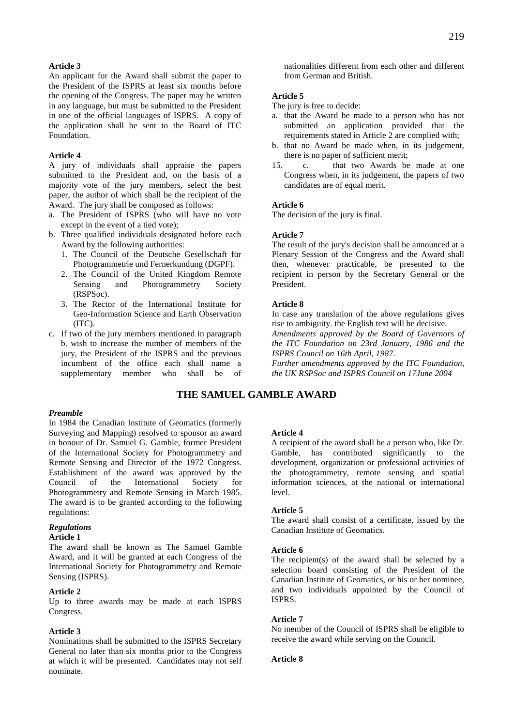# **Article 3**

An applicant for the Award shall submit the paper to the President of the ISPRS at least six months before the opening of the Congress. The paper may be written in any language, but must be submitted to the President in one of the official languages of ISPRS. A copy of the application shall be sent to the Board of ITC Foundation.

# **Article 4**

A jury of individuals shall appraise the papers submitted to the President and, on the basis of a majority vote of the jury members, select the best paper, the author of which shall be the recipient of the Award. The jury shall be composed as follows:

- a. The President of ISPRS (who will have no vote except in the event of a tied vote);
- b. Three qualified individuals designated before each Award by the following authorities:
	- 1. The Council of the Deutsche Gesellschaft für Photogrammetrie und Fernerkundung (DGPF).
	- 2. The Council of the United Kingdom Remote Sensing and Photogrammetry Society (RSPSoc).
	- 3. The Rector of the International Institute for Geo-Information Science and Earth Observation  $(TTC)$
- c. If two of the jury members mentioned in paragraph b. wish to increase the number of members of the jury, the President of the ISPRS and the previous incumbent of the office each shall name a supplementary member who shall be of

nationalities different from each other and different from German and British.

# **Article 5**

The jury is free to decide:

- a. that the Award be made to a person who has not submitted an application provided that the requirements stated in Article 2 are complied with;
- b. that no Award be made when, in its judgement, there is no paper of sufficient merit;
- 15. c. that two Awards be made at one Congress when, in its judgement, the papers of two candidates are of equal merit.

#### **Article 6**

The decision of the jury is final.

# **Article 7**

The result of the jury's decision shall be announced at a Plenary Session of the Congress and the Award shall then, whenever practicable, be presented to the recipient in person by the Secretary General or the President.

# **Article 8**

In case any translation of the above regulations gives rise to ambiguity, the English text will be decisive. *Amendments approved by the Board of Governors of* 

*the ITC Foundation on 23rd January, 1986 and the ISPRS Council on 16th April, 1987.* 

*Further amendments approved by the ITC Foundation, the UK RSPSoc and ISPRS Council on 17June 2004*

# **THE SAMUEL GAMBLE AWARD**

#### *Preamble*

In 1984 the Canadian Institute of Geomatics (formerly Surveying and Mapping) resolved to sponsor an award in honour of Dr. Samuel G. Gamble, former President of the International Society for Photogrammetry and Remote Sensing and Director of the 1972 Congress. Establishment of the award was approved by the Council of the International Society for Photogrammetry and Remote Sensing in March 1985. The award is to be granted according to the following regulations:

#### *Regulations*

#### **Article 1**

The award shall be known as The Samuel Gamble Award, and it will be granted at each Congress of the International Society for Photogrammetry and Remote Sensing (ISPRS).

# **Article 2**

Up to three awards may be made at each ISPRS Congress.

# **Article 3**

Nominations shall be submitted to the ISPRS Secretary General no later than six months prior to the Congress at which it will be presented. Candidates may not self nominate.

# **Article 4**

A recipient of the award shall be a person who, like Dr. Gamble, has contributed significantly to the development, organization or professional activities of the photogrammetry, remote sensing and spatial information sciences, at the national or international level.

#### **Article 5**

The award shall consist of a certificate, issued by the Canadian Institute of Geomatics.

# **Article 6**

The recipient(s) of the award shall be selected by a selection board consisting of the President of the Canadian Institute of Geomatics, or his or her nominee, and two individuals appointed by the Council of ISPRS.

# **Article 7**

No member of the Council of ISPRS shall be eligible to receive the award while serving on the Council.

# **Article 8**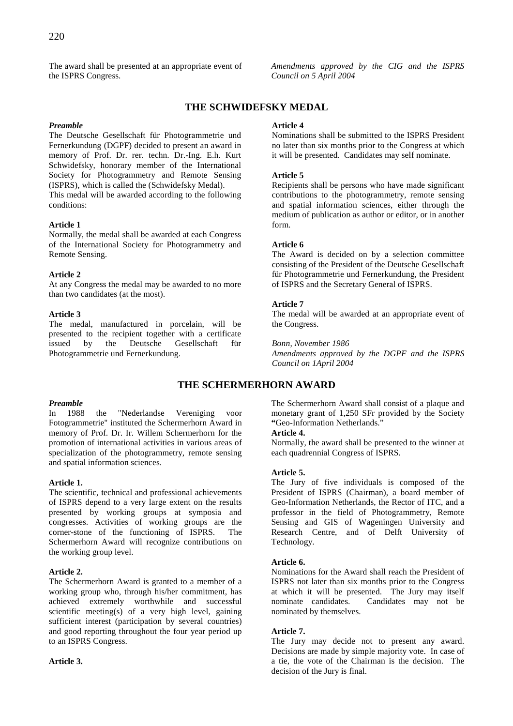The award shall be presented at an appropriate event of the ISPRS Congress.

*Amendments approved by the CIG and the ISPRS Council on 5 April 2004* 

# **THE SCHWIDEFSKY MEDAL**

# *Preamble*

The Deutsche Gesellschaft für Photogrammetrie und Fernerkundung (DGPF) decided to present an award in memory of Prof. Dr. rer. techn. Dr.-Ing. E.h. Kurt Schwidefsky, honorary member of the International Society for Photogrammetry and Remote Sensing (ISPRS), which is called the (Schwidefsky Medal). This medal will be awarded according to the following conditions:

# **Article 1**

Normally, the medal shall be awarded at each Congress of the International Society for Photogrammetry and Remote Sensing.

# **Article 2**

At any Congress the medal may be awarded to no more than two candidates (at the most).

# **Article 3**

The medal, manufactured in porcelain, will be presented to the recipient together with a certificate issued by the Deutsche Gesellschaft für Photogrammetrie und Fernerkundung.

# *Preamble*

In 1988 the "Nederlandse Vereniging voor Fotogrammetrie" instituted the Schermerhorn Award in memory of Prof. Dr. Ir. Willem Schermerhorn for the promotion of international activities in various areas of specialization of the photogrammetry, remote sensing and spatial information sciences.

# **Article 1.**

The scientific, technical and professional achievements of ISPRS depend to a very large extent on the results presented by working groups at symposia and congresses. Activities of working groups are the corner-stone of the functioning of ISPRS. The Schermerhorn Award will recognize contributions on the working group level.

# **Article 2.**

The Schermerhorn Award is granted to a member of a working group who, through his/her commitment, has achieved extremely worthwhile and successful scientific meeting(s) of a very high level, gaining sufficient interest (participation by several countries) and good reporting throughout the four year period up to an ISPRS Congress.

# **Article 3.**

# **Article 4**

Nominations shall be submitted to the ISPRS President no later than six months prior to the Congress at which it will be presented. Candidates may self nominate.

# **Article 5**

Recipients shall be persons who have made significant contributions to the photogrammetry, remote sensing and spatial information sciences, either through the medium of publication as author or editor, or in another form.

# **Article 6**

The Award is decided on by a selection committee consisting of the President of the Deutsche Gesellschaft für Photogrammetrie und Fernerkundung, the President of ISPRS and the Secretary General of ISPRS.

# **Article 7**

The medal will be awarded at an appropriate event of the Congress.

*Bonn, November 1986* 

*Amendments approved by the DGPF and the ISPRS Council on 1April 2004* 

# **THE SCHERMERHORN AWARD**

The Schermerhorn Award shall consist of a plaque and monetary grant of 1,250 SFr provided by the Society **"**Geo-Information Netherlands."

# **Article 4.**

Normally, the award shall be presented to the winner at each quadrennial Congress of ISPRS.

# **Article 5.**

The Jury of five individuals is composed of the President of ISPRS (Chairman), a board member of Geo-Information Netherlands, the Rector of ITC, and a professor in the field of Photogrammetry, Remote Sensing and GIS of Wageningen University and Research Centre, and of Delft University of Technology.

# **Article 6.**

Nominations for the Award shall reach the President of ISPRS not later than six months prior to the Congress at which it will be presented. The Jury may itself nominate candidates. Candidates may not be Candidates may not be nominated by themselves.

# **Article 7.**

The Jury may decide not to present any award. Decisions are made by simple majority vote. In case of a tie, the vote of the Chairman is the decision. The decision of the Jury is final.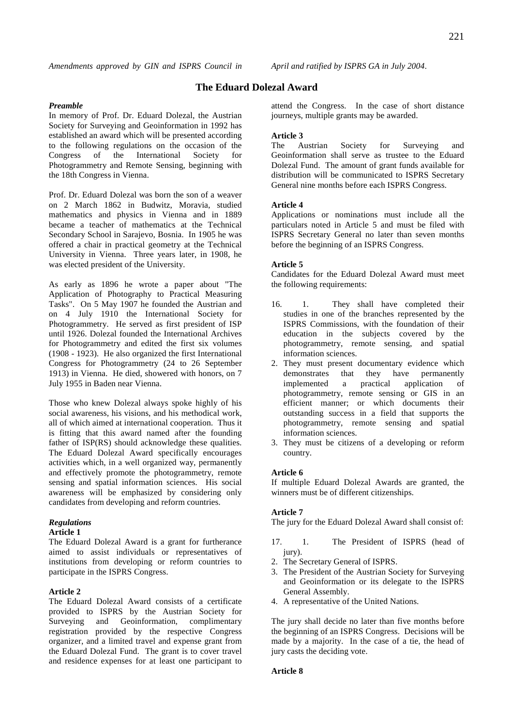# **The Eduard Dolezal Award**

#### *Preamble*

In memory of Prof. Dr. Eduard Dolezal, the Austrian Society for Surveying and Geoinformation in 1992 has established an award which will be presented according to the following regulations on the occasion of the Congress of the International Society for Photogrammetry and Remote Sensing, beginning with the 18th Congress in Vienna.

Prof. Dr. Eduard Dolezal was born the son of a weaver on 2 March 1862 in Budwitz, Moravia, studied mathematics and physics in Vienna and in 1889 became a teacher of mathematics at the Technical Secondary School in Sarajevo, Bosnia. In 1905 he was offered a chair in practical geometry at the Technical University in Vienna. Three years later, in 1908, he was elected president of the University.

As early as 1896 he wrote a paper about "The Application of Photography to Practical Measuring Tasks". On 5 May 1907 he founded the Austrian and on 4 July 1910 the International Society for Photogrammetry. He served as first president of ISP until 1926. Dolezal founded the International Archives for Photogrammetry and edited the first six volumes (1908 - 1923). He also organized the first International Congress for Photogrammetry (24 to 26 September 1913) in Vienna. He died, showered with honors, on 7 July 1955 in Baden near Vienna.

Those who knew Dolezal always spoke highly of his social awareness, his visions, and his methodical work, all of which aimed at international cooperation. Thus it is fitting that this award named after the founding father of ISP(RS) should acknowledge these qualities. The Eduard Dolezal Award specifically encourages activities which, in a well organized way, permanently and effectively promote the photogrammetry, remote sensing and spatial information sciences. His social awareness will be emphasized by considering only candidates from developing and reform countries.

#### *Regulations*

# **Article 1**

The Eduard Dolezal Award is a grant for furtherance aimed to assist individuals or representatives of institutions from developing or reform countries to participate in the ISPRS Congress.

# **Article 2**

The Eduard Dolezal Award consists of a certificate provided to ISPRS by the Austrian Society for Surveying and Geoinformation, complimentary registration provided by the respective Congress organizer, and a limited travel and expense grant from the Eduard Dolezal Fund. The grant is to cover travel and residence expenses for at least one participant to

attend the Congress. In the case of short distance journeys, multiple grants may be awarded.

**Article 3**  The Austrian Society for Surveying and Geoinformation shall serve as trustee to the Eduard Dolezal Fund. The amount of grant funds available for distribution will be communicated to ISPRS Secretary General nine months before each ISPRS Congress.

#### **Article 4**

Applications or nominations must include all the particulars noted in Article 5 and must be filed with ISPRS Secretary General no later than seven months before the beginning of an ISPRS Congress.

#### **Article 5**

Candidates for the Eduard Dolezal Award must meet the following requirements:

- 16. 1. They shall have completed their studies in one of the branches represented by the ISPRS Commissions, with the foundation of their education in the subjects covered by the photogrammetry, remote sensing, and spatial information sciences.
- 2. They must present documentary evidence which demonstrates that they have permanently<br>implemented a practical application of implemented a practical application of photogrammetry, remote sensing or GIS in an efficient manner; or which documents their outstanding success in a field that supports the photogrammetry, remote sensing and spatial information sciences.
- 3. They must be citizens of a developing or reform country.

#### **Article 6**

If multiple Eduard Dolezal Awards are granted, the winners must be of different citizenships.

#### **Article 7**

The jury for the Eduard Dolezal Award shall consist of:

- 17. 1. The President of ISPRS (head of jury).
- 2. The Secretary General of ISPRS.
- 3. The President of the Austrian Society for Surveying and Geoinformation or its delegate to the ISPRS General Assembly.
- 4. A representative of the United Nations.

The jury shall decide no later than five months before the beginning of an ISPRS Congress. Decisions will be made by a majority. In the case of a tie, the head of jury casts the deciding vote.

#### **Article 8**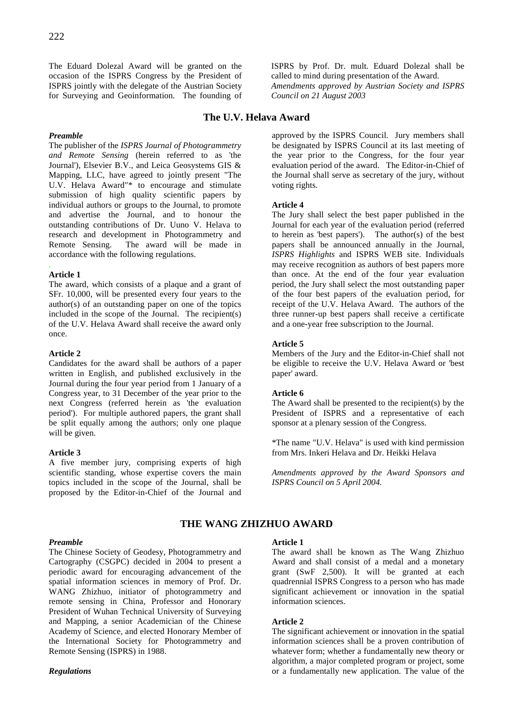The Eduard Dolezal Award will be granted on the occasion of the ISPRS Congress by the President of ISPRS jointly with the delegate of the Austrian Society for Surveying and Geoinformation. The founding of

# **The U.V. Helava Award**

# *Preamble*

The publisher of the *ISPRS Journal of Photogrammetry and Remote Sensing* (herein referred to as 'the Journal'), Elsevier B.V., and Leica Geosystems GIS & Mapping, LLC, have agreed to jointly present "The U.V. Helava Award"\* to encourage and stimulate submission of high quality scientific papers by individual authors or groups to the Journal, to promote and advertise the Journal, and to honour the outstanding contributions of Dr. Uuno V. Helava to research and development in Photogrammetry and Remote Sensing. The award will be made in accordance with the following regulations.

#### . **Article 1**

The award, which consists of a plaque and a grant of SFr. 10,000, will be presented every four years to the author(s) of an outstanding paper on one of the topics included in the scope of the Journal. The recipient(s) of the U.V. Helava Award shall receive the award only once.

# **Article 2**

Candidates for the award shall be authors of a paper written in English, and published exclusively in the Journal during the four year period from 1 January of a Congress year, to 31 December of the year prior to the next Congress (referred herein as 'the evaluation period'). For multiple authored papers, the grant shall be split equally among the authors; only one plaque will be given.

# **Article 3**

A five member jury, comprising experts of high scientific standing, whose expertise covers the main topics included in the scope of the Journal, shall be proposed by the Editor-in-Chief of the Journal and approved by the ISPRS Council. Jury members shall be designated by ISPRS Council at its last meeting of the year prior to the Congress, for the four year evaluation period of the award. The Editor-in-Chief of the Journal shall serve as secretary of the jury, without voting rights.

ISPRS by Prof. Dr. mult. Eduard Dolezal shall be called to mind during presentation of the Award. *Amendments approved by Austrian Society and ISPRS* 

# **Article 4**

*Council on 21 August 2003* 

The Jury shall select the best paper published in the Journal for each year of the evaluation period (referred to herein as 'best papers'). The author(s) of the best papers shall be announced annually in the Journal, *ISPRS Highlights* and ISPRS WEB site. Individuals may receive recognition as authors of best papers more than once. At the end of the four year evaluation period, the Jury shall select the most outstanding paper of the four best papers of the evaluation period, for receipt of the U.V. Helava Award. The authors of the three runner-up best papers shall receive a certificate and a one-year free subscription to the Journal.

# **Article 5**

Members of the Jury and the Editor-in-Chief shall not be eligible to receive the U.V. Helava Award or 'best paper' award.

# **Article 6**

The Award shall be presented to the recipient(s) by the President of ISPRS and a representative of each sponsor at a plenary session of the Congress.

\*The name "U.V. Helava" is used with kind permission from Mrs. Inkeri Helava and Dr. Heikki Helava

*Amendments approved by the Award Sponsors and ISPRS Council on 5 April 2004.* 

# **THE WANG ZHIZHUO AWARD**

# *Preamble*

The Chinese Society of Geodesy, Photogrammetry and Cartography (CSGPC) decided in 2004 to present a periodic award for encouraging advancement of the spatial information sciences in memory of Prof. Dr. WANG Zhizhuo, initiator of photogrammetry and remote sensing in China, Professor and Honorary President of Wuhan Technical University of Surveying and Mapping, a senior Academician of the Chinese Academy of Science, and elected Honorary Member of the International Society for Photogrammetry and Remote Sensing (ISPRS) in 1988.

*Regulations* 

# **Article 1**

The award shall be known as The Wang Zhizhuo Award and shall consist of a medal and a monetary grant (SwF 2,500). It will be granted at each quadrennial ISPRS Congress to a person who has made significant achievement or innovation in the spatial information sciences.

# **Article 2**

The significant achievement or innovation in the spatial information sciences shall be a proven contribution of whatever form; whether a fundamentally new theory or algorithm, a major completed program or project, some or a fundamentally new application. The value of the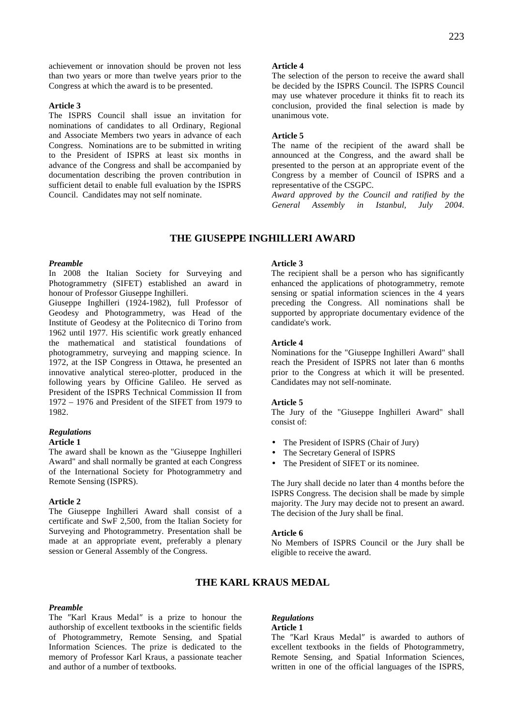achievement or innovation should be proven not less than two years or more than twelve years prior to the Congress at which the award is to be presented.

#### **Article 3**

The ISPRS Council shall issue an invitation for nominations of candidates to all Ordinary, Regional and Associate Members two years in advance of each Congress. Nominations are to be submitted in writing to the President of ISPRS at least six months in advance of the Congress and shall be accompanied by documentation describing the proven contribution in sufficient detail to enable full evaluation by the ISPRS Council. Candidates may not self nominate.

#### **Article 4**

The selection of the person to receive the award shall be decided by the ISPRS Council. The ISPRS Council may use whatever procedure it thinks fit to reach its conclusion, provided the final selection is made by unanimous vote.

#### **Article 5**

The name of the recipient of the award shall be announced at the Congress, and the award shall be presented to the person at an appropriate event of the Congress by a member of Council of ISPRS and a representative of the CSGPC.

*Award approved by the Council and ratified by the General Assembly in Istanbul, July 2004.*

# **THE GIUSEPPE INGHILLERI AWARD**

#### *Preamble*

In 2008 the Italian Society for Surveying and Photogrammetry (SIFET) established an award in honour of Professor Giuseppe Inghilleri.

Giuseppe Inghilleri (1924-1982), full Professor of Geodesy and Photogrammetry, was Head of the Institute of Geodesy at the Politecnico di Torino from 1962 until 1977. His scientific work greatly enhanced the mathematical and statistical foundations of photogrammetry, surveying and mapping science. In 1972, at the ISP Congress in Ottawa, he presented an innovative analytical stereo-plotter, produced in the following years by Officine Galileo. He served as President of the ISPRS Technical Commission II from 1972 – 1976 and President of the SIFET from 1979 to 1982.

#### *Regulations*

#### **Article 1**

The award shall be known as the "Giuseppe Inghilleri Award" and shall normally be granted at each Congress of the International Society for Photogrammetry and Remote Sensing (ISPRS).

#### **Article 2**

The Giuseppe Inghilleri Award shall consist of a certificate and SwF 2,500, from the Italian Society for Surveying and Photogrammetry. Presentation shall be made at an appropriate event, preferably a plenary session or General Assembly of the Congress.

#### **Article 3**

The recipient shall be a person who has significantly enhanced the applications of photogrammetry, remote sensing or spatial information sciences in the 4 years preceding the Congress. All nominations shall be supported by appropriate documentary evidence of the candidate's work.

#### **Article 4**

Nominations for the "Giuseppe Inghilleri Award" shall reach the President of ISPRS not later than 6 months prior to the Congress at which it will be presented. Candidates may not self-nominate.

#### **Article 5**

The Jury of the "Giuseppe Inghilleri Award" shall consist of:

- The President of ISPRS (Chair of Jury)
- The Secretary General of ISPRS
- The President of SIFET or its nominee.

The Jury shall decide no later than 4 months before the ISPRS Congress. The decision shall be made by simple majority. The Jury may decide not to present an award. The decision of the Jury shall be final.

# **Article 6**

No Members of ISPRS Council or the Jury shall be eligible to receive the award.

# **THE KARL KRAUS MEDAL**

# *Preamble*

The ″Karl Kraus Medal″ is a prize to honour the authorship of excellent textbooks in the scientific fields of Photogrammetry, Remote Sensing, and Spatial Information Sciences. The prize is dedicated to the memory of Professor Karl Kraus, a passionate teacher and author of a number of textbooks.

#### *Regulations*

# **Article 1**

The ″Karl Kraus Medal″ is awarded to authors of excellent textbooks in the fields of Photogrammetry, Remote Sensing, and Spatial Information Sciences, written in one of the official languages of the ISPRS,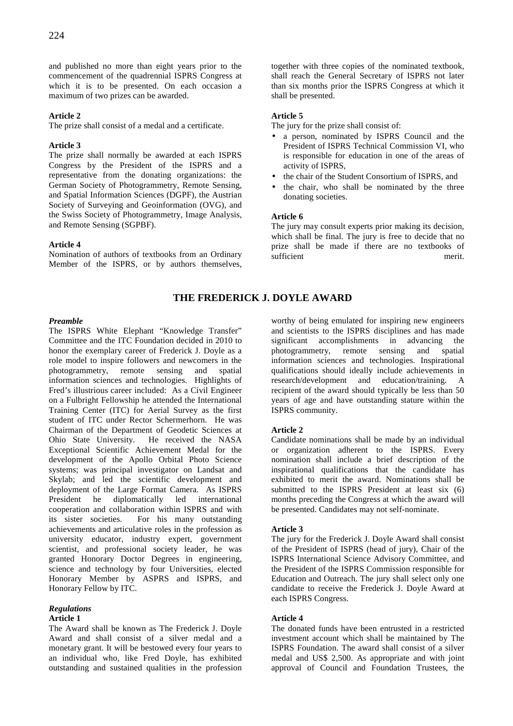and published no more than eight years prior to the commencement of the quadrennial ISPRS Congress at which it is to be presented. On each occasion a maximum of two prizes can be awarded.

# **Article 2**

The prize shall consist of a medal and a certificate.

# **Article 3**

The prize shall normally be awarded at each ISPRS Congress by the President of the ISPRS and a representative from the donating organizations: the German Society of Photogrammetry, Remote Sensing, and Spatial Information Sciences (DGPF), the Austrian Society of Surveying and Geoinformation (OVG), and the Swiss Society of Photogrammetry, Image Analysis, and Remote Sensing (SGPBF).

# **Article 4**

Nomination of authors of textbooks from an Ordinary Member of the ISPRS, or by authors themselves, together with three copies of the nominated textbook, shall reach the General Secretary of ISPRS not later than six months prior the ISPRS Congress at which it shall be presented.

# **Article 5**

The jury for the prize shall consist of:

- a person, nominated by ISPRS Council and the President of ISPRS Technical Commission VI, who is responsible for education in one of the areas of activity of ISPRS,
- the chair of the Student Consortium of ISPRS, and
- the chair, who shall be nominated by the three donating societies.

# **Article 6**

The jury may consult experts prior making its decision, which shall be final. The jury is free to decide that no prize shall be made if there are no textbooks of sufficient merit.

# **THE FREDERICK J. DOYLE AWARD**

# *Preamble*

The ISPRS White Elephant "Knowledge Transfer" Committee and the ITC Foundation decided in 2010 to honor the exemplary career of Frederick J. Doyle as a role model to inspire followers and newcomers in the photogrammetry, remote sensing and spatial information sciences and technologies. Highlights of Fred's illustrious career included: As a Civil Engineer on a Fulbright Fellowship he attended the International Training Center (ITC) for Aerial Survey as the first student of ITC under Rector Schermerhorn. He was Chairman of the Department of Geodetic Sciences at Ohio State University. He received the NASA Exceptional Scientific Achievement Medal for the development of the Apollo Orbital Photo Science systems; was principal investigator on Landsat and Skylab; and led the scientific development and deployment of the Large Format Camera. As ISPRS President he diplomatically led international cooperation and collaboration within ISPRS and with its sister societies. For his many outstanding achievements and articulative roles in the profession as university educator, industry expert, government scientist, and professional society leader, he was granted Honorary Doctor Degrees in engineering, science and technology by four Universities, elected Honorary Member by ASPRS and ISPRS, and Honorary Fellow by ITC.

# *Regulations*

# **Article 1**

The Award shall be known as The Frederick J. Doyle Award and shall consist of a silver medal and a monetary grant. It will be bestowed every four years to an individual who, like Fred Doyle, has exhibited outstanding and sustained qualities in the profession

worthy of being emulated for inspiring new engineers and scientists to the ISPRS disciplines and has made significant accomplishments in advancing the photogrammetry, remote sensing and spatial information sciences and technologies. Inspirational qualifications should ideally include achievements in research/development and education/training. A recipient of the award should typically be less than 50 years of age and have outstanding stature within the ISPRS community.

# **Article 2**

Candidate nominations shall be made by an individual or organization adherent to the ISPRS. Every nomination shall include a brief description of the inspirational qualifications that the candidate has exhibited to merit the award. Nominations shall be submitted to the ISPRS President at least six (6) months preceding the Congress at which the award will be presented. Candidates may not self-nominate.

# **Article 3**

The jury for the Frederick J. Doyle Award shall consist of the President of ISPRS (head of jury), Chair of the ISPRS International Science Advisory Committee, and the President of the ISPRS Commission responsible for Education and Outreach. The jury shall select only one candidate to receive the Frederick J. Doyle Award at each ISPRS Congress.

# **Article 4**

The donated funds have been entrusted in a restricted investment account which shall be maintained by The ISPRS Foundation. The award shall consist of a silver medal and US\$ 2,500. As appropriate and with joint approval of Council and Foundation Trustees, the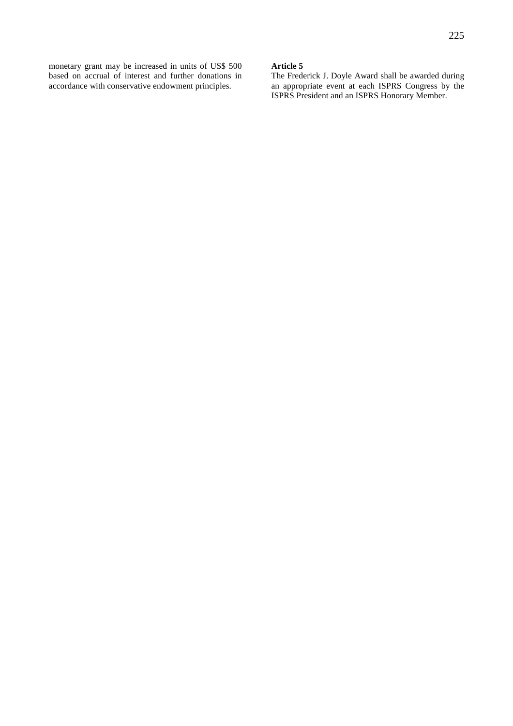monetary grant may be increased in units of US\$ 500 based on accrual of interest and further donations in

accordance with conservative endowment principles.

# **Article 5**

The Frederick J. Doyle Award shall be awarded during an appropriate event at each ISPRS Congress by the ISPRS President and an ISPRS Honorary Member.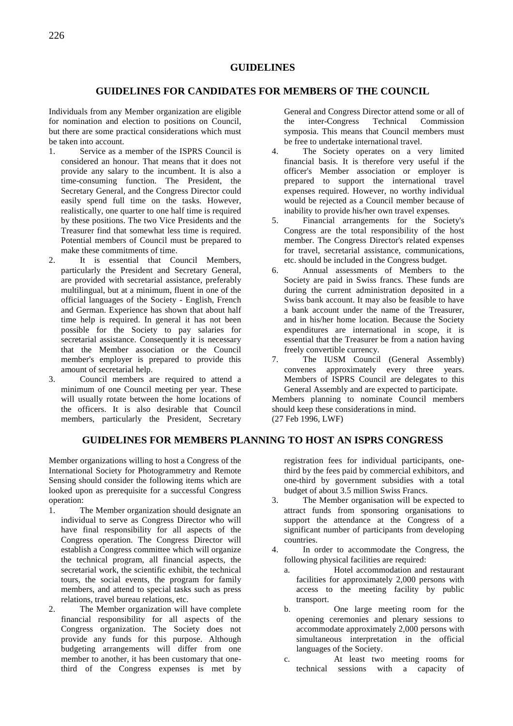# **GUIDELINES**

# **GUIDELINES FOR CANDIDATES FOR MEMBERS OF THE COUNCIL**

Individuals from any Member organization are eligible for nomination and election to positions on Council, but there are some practical considerations which must be taken into account.

- 1. Service as a member of the ISPRS Council is considered an honour. That means that it does not provide any salary to the incumbent. It is also a time-consuming function. The President, the Secretary General, and the Congress Director could easily spend full time on the tasks. However, realistically, one quarter to one half time is required by these positions. The two Vice Presidents and the Treasurer find that somewhat less time is required. Potential members of Council must be prepared to make these commitments of time.
- 2. It is essential that Council Members, particularly the President and Secretary General, are provided with secretarial assistance, preferably multilingual, but at a minimum, fluent in one of the official languages of the Society - English, French and German. Experience has shown that about half time help is required. In general it has not been possible for the Society to pay salaries for secretarial assistance. Consequently it is necessary that the Member association or the Council member's employer is prepared to provide this amount of secretarial help.
- 3. Council members are required to attend a minimum of one Council meeting per year. These will usually rotate between the home locations of the officers. It is also desirable that Council members, particularly the President, Secretary

General and Congress Director attend some or all of the inter-Congress Technical Commission symposia. This means that Council members must be free to undertake international travel.

- 4. The Society operates on a very limited financial basis. It is therefore very useful if the officer's Member association or employer is prepared to support the international travel expenses required. However, no worthy individual would be rejected as a Council member because of inability to provide his/her own travel expenses.
- 5. Financial arrangements for the Society's Congress are the total responsibility of the host member. The Congress Director's related expenses for travel, secretarial assistance, communications, etc. should be included in the Congress budget.
- 6. Annual assessments of Members to the Society are paid in Swiss francs. These funds are during the current administration deposited in a Swiss bank account. It may also be feasible to have a bank account under the name of the Treasurer, and in his/her home location. Because the Society expenditures are international in scope, it is essential that the Treasurer be from a nation having freely convertible currency.
- 7. The IUSM Council (General Assembly) convenes approximately every three years. Members of ISPRS Council are delegates to this General Assembly and are expected to participate.

Members planning to nominate Council members should keep these considerations in mind. (27 Feb 1996, LWF)

# **GUIDELINES FOR MEMBERS PLANNING TO HOST AN ISPRS CONGRESS**

Member organizations willing to host a Congress of the International Society for Photogrammetry and Remote Sensing should consider the following items which are looked upon as prerequisite for a successful Congress operation:

- 1. The Member organization should designate an individual to serve as Congress Director who will have final responsibility for all aspects of the Congress operation. The Congress Director will establish a Congress committee which will organize the technical program, all financial aspects, the secretarial work, the scientific exhibit, the technical tours, the social events, the program for family members, and attend to special tasks such as press relations, travel bureau relations, etc.
- 2. The Member organization will have complete financial responsibility for all aspects of the Congress organization. The Society does not provide any funds for this purpose. Although budgeting arrangements will differ from one member to another, it has been customary that onethird of the Congress expenses is met by

registration fees for individual participants, onethird by the fees paid by commercial exhibitors, and one-third by government subsidies with a total budget of about 3.5 million Swiss Francs.

- 3. The Member organisation will be expected to attract funds from sponsoring organisations to support the attendance at the Congress of a significant number of participants from developing countries.
- 4. In order to accommodate the Congress, the following physical facilities are required:
	- a. Hotel accommodation and restaurant facilities for approximately 2,000 persons with access to the meeting facility by public transport.
	- b. One large meeting room for the opening ceremonies and plenary sessions to accommodate approximately 2,000 persons with simultaneous interpretation in the official languages of the Society.
	- c. At least two meeting rooms for technical sessions with a capacity of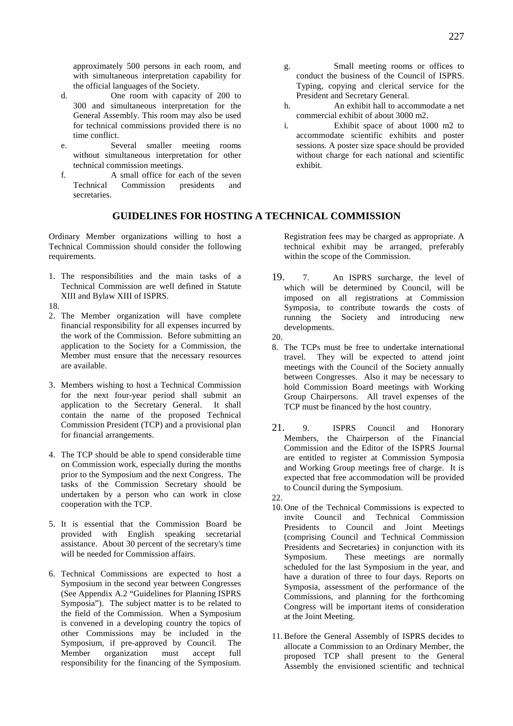- d. One room with capacity of 200 to 300 and simultaneous interpretation for the General Assembly. This room may also be used for technical commissions provided there is no time conflict.
- e. Several smaller meeting rooms without simultaneous interpretation for other technical commission meetings.
- f. A small office for each of the seven Technical Commission presidents and secretaries.

# **GUIDELINES FOR HOSTING A TECHNICAL COMMISSION**

Ordinary Member organizations willing to host a Technical Commission should consider the following requirements.

- 1. The responsibilities and the main tasks of a Technical Commission are well defined in Statute XIII and Bylaw XIII of ISPRS.
- 18.
- 2. The Member organization will have complete financial responsibility for all expenses incurred by the work of the Commission. Before submitting an application to the Society for a Commission, the Member must ensure that the necessary resources are available.
- 3. Members wishing to host a Technical Commission for the next four-year period shall submit an application to the Secretary General. It shall contain the name of the proposed Technical Commission President (TCP) and a provisional plan for financial arrangements.
- 4. The TCP should be able to spend considerable time on Commission work, especially during the months prior to the Symposium and the next Congress. The tasks of the Commission Secretary should be undertaken by a person who can work in close cooperation with the TCP.
- 5. It is essential that the Commission Board be provided with English speaking secretarial assistance. About 30 percent of the secretary's time will be needed for Commission affairs.
- 6. Technical Commissions are expected to host a Symposium in the second year between Congresses (See Appendix A.2 "Guidelines for Planning ISPRS Symposia"). The subject matter is to be related to the field of the Commission. When a Symposium is convened in a developing country the topics of other Commissions may be included in the Symposium, if pre-approved by Council. The Member organization must accept full responsibility for the financing of the Symposium.
- g. Small meeting rooms or offices to conduct the business of the Council of ISPRS. Typing, copying and clerical service for the President and Secretary General.
- h. An exhibit hall to accommodate a net commercial exhibit of about 3000 m2.
- i. Exhibit space of about 1000 m2 to accommodate scientific exhibits and poster sessions. A poster size space should be provided without charge for each national and scientific exhibit.

# Registration fees may be charged as appropriate. A

technical exhibit may be arranged, preferably within the scope of the Commission.

- 19. 7. An ISPRS surcharge, the level of which will be determined by Council, will be imposed on all registrations at Commission Symposia, to contribute towards the costs of running the Society and introducing new developments.
- 20.
- 8. The TCPs must be free to undertake international travel. They will be expected to attend joint meetings with the Council of the Society annually between Congresses. Also it may be necessary to hold Commission Board meetings with Working Group Chairpersons. All travel expenses of the TCP must be financed by the host country.
- 21. 9. ISPRS Council and Honorary Members, the Chairperson of the Financial Commission and the Editor of the ISPRS Journal are entitled to register at Commission Symposia and Working Group meetings free of charge. It is expected that free accommodation will be provided to Council during the Symposium.
- 22.
- 10. One of the Technical Commissions is expected to invite Council and Technical Commission Presidents to Council and Joint Meetings (comprising Council and Technical Commission Presidents and Secretaries) in conjunction with its Symposium. These meetings are normally scheduled for the last Symposium in the year, and have a duration of three to four days. Reports on Symposia, assessment of the performance of the Commissions, and planning for the forthcoming Congress will be important items of consideration at the Joint Meeting.
- 11. Before the General Assembly of ISPRS decides to allocate a Commission to an Ordinary Member, the proposed TCP shall present to the General Assembly the envisioned scientific and technical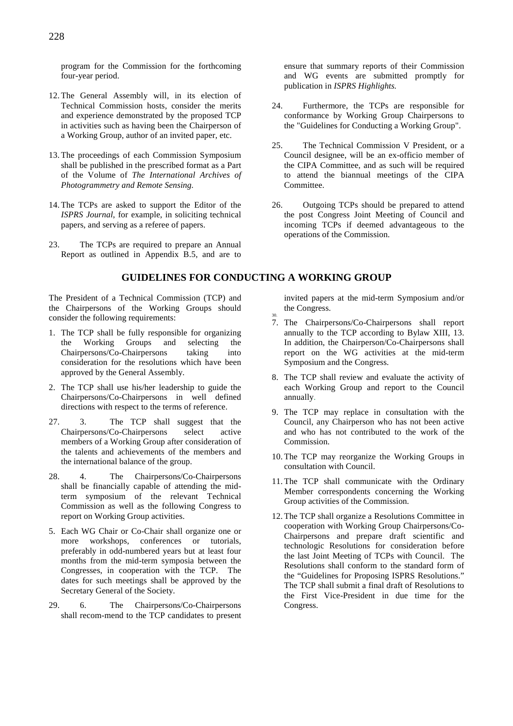program for the Commission for the forthcoming four-year period.

- 12. The General Assembly will, in its election of Technical Commission hosts, consider the merits and experience demonstrated by the proposed TCP in activities such as having been the Chairperson of a Working Group, author of an invited paper, etc.
- 13. The proceedings of each Commission Symposium shall be published in the prescribed format as a Part of the Volume of *The International Archives of Photogrammetry and Remote Sensing.*
- 14. The TCPs are asked to support the Editor of the *ISPRS Journal*, for example, in soliciting technical papers, and serving as a referee of papers.
- 23. The TCPs are required to prepare an Annual Report as outlined in Appendix B.5, and are to

The President of a Technical Commission (TCP) and the Chairpersons of the Working Groups should consider the following requirements:

- 1. The TCP shall be fully responsible for organizing the Working Groups and selecting the Chairpersons/Co-Chairpersons taking into consideration for the resolutions which have been approved by the General Assembly.
- 2. The TCP shall use his/her leadership to guide the Chairpersons/Co-Chairpersons in well defined directions with respect to the terms of reference.
- 27. 3. The TCP shall suggest that the Chairpersons/Co-Chairpersons select active members of a Working Group after consideration of the talents and achievements of the members and the international balance of the group.
- 28. 4. The Chairpersons/Co-Chairpersons shall be financially capable of attending the midterm symposium of the relevant Technical Commission as well as the following Congress to report on Working Group activities.
- 5. Each WG Chair or Co-Chair shall organize one or more workshops, conferences or tutorials, preferably in odd-numbered years but at least four months from the mid-term symposia between the Congresses, in cooperation with the TCP. The dates for such meetings shall be approved by the Secretary General of the Society.
- 29. 6. The Chairpersons/Co-Chairpersons shall recom-mend to the TCP candidates to present

ensure that summary reports of their Commission and WG events are submitted promptly for publication in *ISPRS Highlights.* 

- 24. Furthermore, the TCPs are responsible for conformance by Working Group Chairpersons to the "Guidelines for Conducting a Working Group".
- 25. The Technical Commission V President, or a Council designee, will be an ex-officio member of the CIPA Committee, and as such will be required to attend the biannual meetings of the CIPA Committee.
- 26. Outgoing TCPs should be prepared to attend the post Congress Joint Meeting of Council and incoming TCPs if deemed advantageous to the operations of the Commission.

# **GUIDELINES FOR CONDUCTING A WORKING GROUP**

invited papers at the mid-term Symposium and/or the Congress.

- 30. 7. The Chairpersons/Co-Chairpersons shall report annually to the TCP according to Bylaw XIII, 13. In addition, the Chairperson/Co-Chairpersons shall report on the WG activities at the mid-term Symposium and the Congress.
- 8. The TCP shall review and evaluate the activity of each Working Group and report to the Council annually.
- 9. The TCP may replace in consultation with the Council, any Chairperson who has not been active and who has not contributed to the work of the Commission.
- 10. The TCP may reorganize the Working Groups in consultation with Council.
- 11. The TCP shall communicate with the Ordinary Member correspondents concerning the Working Group activities of the Commission.
- 12. The TCP shall organize a Resolutions Committee in cooperation with Working Group Chairpersons/Co-Chairpersons and prepare draft scientific and technologic Resolutions for consideration before the last Joint Meeting of TCPs with Council. The Resolutions shall conform to the standard form of the "Guidelines for Proposing ISPRS Resolutions." The TCP shall submit a final draft of Resolutions to the First Vice-President in due time for the Congress.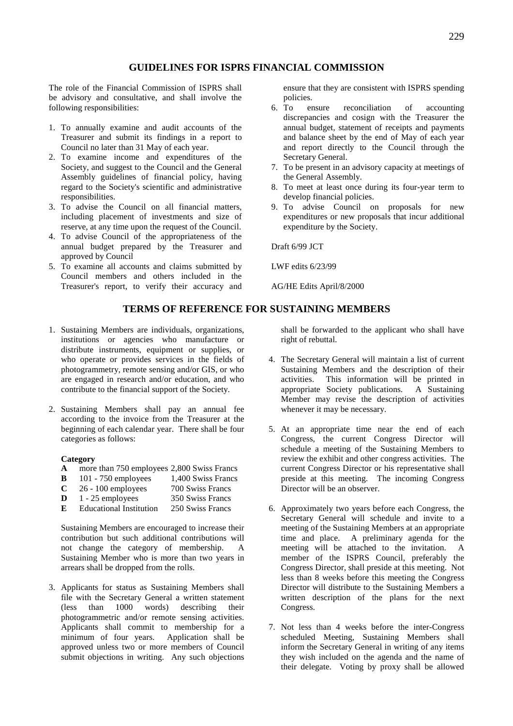# **GUIDELINES FOR ISPRS FINANCIAL COMMISSION**

The role of the Financial Commission of ISPRS shall be advisory and consultative, and shall involve the following responsibilities:

- 1. To annually examine and audit accounts of the Treasurer and submit its findings in a report to Council no later than 31 May of each year.
- 2. To examine income and expenditures of the Society, and suggest to the Council and the General Assembly guidelines of financial policy, having regard to the Society's scientific and administrative responsibilities.
- 3. To advise the Council on all financial matters, including placement of investments and size of reserve, at any time upon the request of the Council.
- 4. To advise Council of the appropriateness of the annual budget prepared by the Treasurer and approved by Council
- 5. To examine all accounts and claims submitted by Council members and others included in the Treasurer's report, to verify their accuracy and

ensure that they are consistent with ISPRS spending policies.

- 6. To ensure reconciliation of accounting discrepancies and cosign with the Treasurer the annual budget, statement of receipts and payments and balance sheet by the end of May of each year and report directly to the Council through the Secretary General.
- 7. To be present in an advisory capacity at meetings of the General Assembly.
- 8. To meet at least once during its four-year term to develop financial policies.
- 9. To advise Council on proposals for new expenditures or new proposals that incur additional expenditure by the Society.

Draft 6/99 JCT

LWF edits 6/23/99

AG/HE Edits April/8/2000

# **TERMS OF REFERENCE FOR SUSTAINING MEMBERS**

- 1. Sustaining Members are individuals, organizations, institutions or agencies who manufacture or distribute instruments, equipment or supplies, or who operate or provides services in the fields of photogrammetry, remote sensing and/or GIS, or who are engaged in research and/or education, and who contribute to the financial support of the Society.
- 2. Sustaining Members shall pay an annual fee according to the invoice from the Treasurer at the beginning of each calendar year. There shall be four categories as follows:

# **Category**

- **A** more than 750 employees 2,800 Swiss Francs
- **B** 101 750 employees 1,400 Swiss Francs
- **C** 26 100 employees 700 Swiss Francs
- **D** 1 25 employees 350 Swiss Francs
- **E** Educational Institution 250 Swiss Francs

 Sustaining Members are encouraged to increase their contribution but such additional contributions will not change the category of membership. A Sustaining Member who is more than two years in arrears shall be dropped from the rolls.

3. Applicants for status as Sustaining Members shall file with the Secretary General a written statement (less than 1000 words) describing their photogrammetric and/or remote sensing activities. Applicants shall commit to membership for a minimum of four years. Application shall be approved unless two or more members of Council submit objections in writing. Any such objections shall be forwarded to the applicant who shall have right of rebuttal.

- 4. The Secretary General will maintain a list of current Sustaining Members and the description of their activities. This information will be printed in appropriate Society publications. A Sustaining Member may revise the description of activities whenever it may be necessary.
- 5. At an appropriate time near the end of each Congress, the current Congress Director will schedule a meeting of the Sustaining Members to review the exhibit and other congress activities. The current Congress Director or his representative shall preside at this meeting. The incoming Congress Director will be an observer.
- 6. Approximately two years before each Congress, the Secretary General will schedule and invite to a meeting of the Sustaining Members at an appropriate time and place. A preliminary agenda for the meeting will be attached to the invitation. A member of the ISPRS Council, preferably the Congress Director, shall preside at this meeting. Not less than 8 weeks before this meeting the Congress Director will distribute to the Sustaining Members a written description of the plans for the next Congress.
- 7. Not less than 4 weeks before the inter-Congress scheduled Meeting, Sustaining Members shall inform the Secretary General in writing of any items they wish included on the agenda and the name of their delegate. Voting by proxy shall be allowed